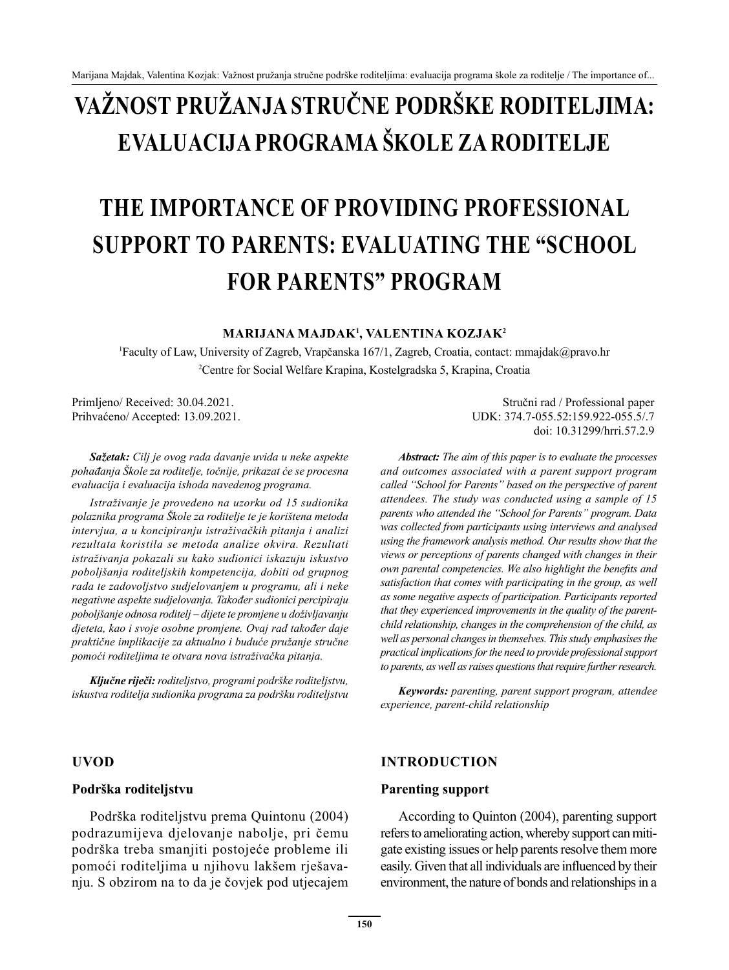# **VAŽNOST PRUŽANJA STRUČNE PODRŠKE RODITELJIMA: EVALUACIJA PROGRAMA ŠKOLE ZA RODITELJE**

# **THE IMPORTANCE OF PROVIDING PROFESSIONAL SUPPORT TO PARENTS: EVALUATING THE "SCHOOL FOR PARENTS" PROGRAM**

**MARIJANA MAJDAK<sup>1</sup> , VALENTINA KOZJAK<sup>2</sup>**

1 Faculty of Law, University of Zagreb, Vrapčanska 167/1, Zagreb, Croatia, contact: mmajdak@pravo.hr 2 Centre for Social Welfare Krapina, Kostelgradska 5, Krapina, Croatia

*Sažetak: Cilj je ovog rada davanje uvida u neke aspekte pohađanja Škole za roditelje, točnije, prikazat će se procesna evaluacija i evaluacija ishoda navedenog programa.*

*Istraživanje je provedeno na uzorku od 15 sudionika polaznika programa Škole za roditelje te je korištena metoda intervjua, a u koncipiranju istraživačkih pitanja i analizi rezultata koristila se metoda analize okvira. Rezultati istraživanja pokazali su kako sudionici iskazuju iskustvo poboljšanja roditeljskih kompetencija, dobiti od grupnog rada te zadovoljstvo sudjelovanjem u programu, ali i neke negativne aspekte sudjelovanja. Također sudionici percipiraju poboljšanje odnosa roditelj – dijete te promjene u doživljavanju djeteta, kao i svoje osobne promjene. Ovaj rad također daje praktične implikacije za aktualno i buduće pružanje stručne pomoći roditeljima te otvara nova istraživačka pitanja.*

*Ključne riječi: roditeljstvo, programi podrške roditeljstvu, iskustva roditelja sudionika programa za podršku roditeljstvu*

#### **UVOD**

#### **Podrška roditeljstvu**

Podrška roditeljstvu prema Quintonu (2004) podrazumijeva djelovanje nabolje, pri čemu podrška treba smanjiti postojeće probleme ili pomoći roditeljima u njihovu lakšem rješavanju. S obzirom na to da je čovjek pod utjecajem

Primljeno/ Received: 30.04.2021. Stručni rad / Professional paper Prihvaćeno/ Accepted: 13.09.2021. UDK: 374.7-055.52:159.922-055.5/.7 doi: 10.31299/hrri.57.2.9

> *Abstract: The aim of this paper is to evaluate the processes and outcomes associated with a parent support program called "School for Parents" based on the perspective of parent attendees. The study was conducted using a sample of 15 parents who attended the "School for Parents" program. Data was collected from participants using interviews and analysed using the framework analysis method. Our results show that the views or perceptions of parents changed with changes in their own parental competencies. We also highlight the benefits and satisfaction that comes with participating in the group, as well as some negative aspects of participation. Participants reported that they experienced improvements in the quality of the parentchild relationship, changes in the comprehension of the child, as well as personal changes in themselves. This study emphasises the practical implications for the need to provide professional support to parents, as well as raises questions that require further research.*

> *Keywords: parenting, parent support program, attendee experience, parent-child relationship*

#### **INTRODUCTION**

#### **Parenting support**

According to Quinton (2004), parenting support refers to ameliorating action, whereby support can mitigate existing issues or help parents resolve them more easily. Given that all individuals are influenced by their environment, the nature of bonds and relationships in a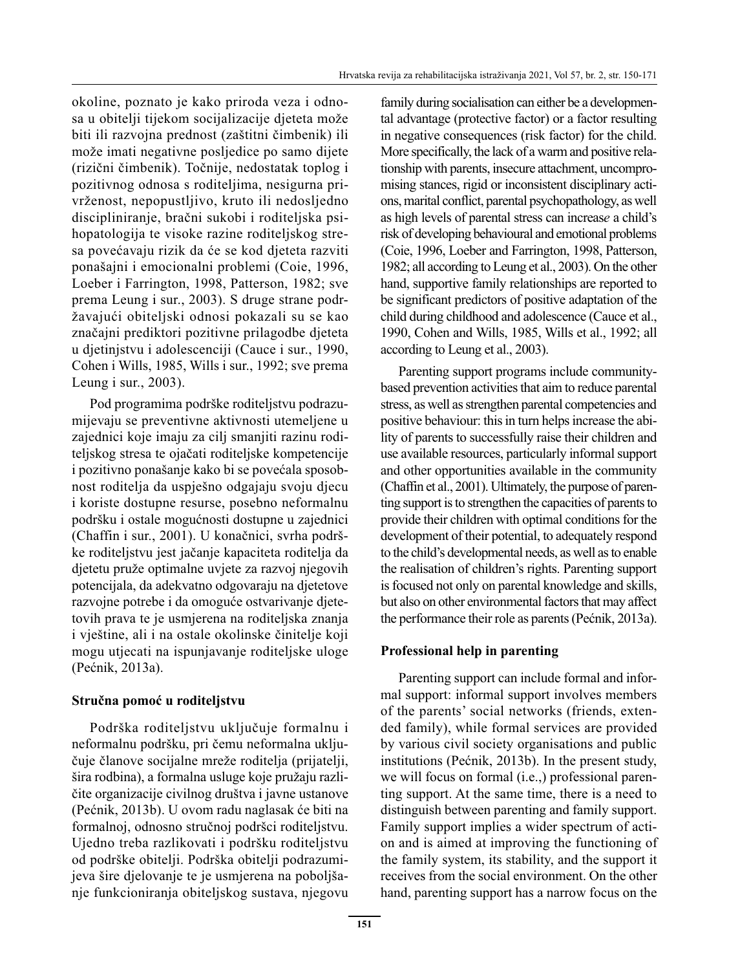okoline, poznato je kako priroda veza i odnosa u obitelji tijekom socijalizacije djeteta može biti ili razvojna prednost (zaštitni čimbenik) ili može imati negativne posljedice po samo dijete (rizični čimbenik). Točnije, nedostatak toplog i pozitivnog odnosa s roditeljima, nesigurna privrženost, nepopustljivo, kruto ili nedosljedno discipliniranje, bračni sukobi i roditeljska psihopatologija te visoke razine roditeljskog stresa povećavaju rizik da će se kod djeteta razviti ponašajni i emocionalni problemi (Coie, 1996, Loeber i Farrington, 1998, Patterson, 1982; sve prema Leung i sur., 2003). S druge strane podržavajući obiteljski odnosi pokazali su se kao značajni prediktori pozitivne prilagodbe djeteta u djetinjstvu i adolescenciji (Cauce i sur., 1990, Cohen i Wills, 1985, Wills i sur., 1992; sve prema Leung i sur., 2003).

Pod programima podrške roditeljstvu podrazumijevaju se preventivne aktivnosti utemeljene u zajednici koje imaju za cilj smanjiti razinu roditeljskog stresa te ojačati roditeljske kompetencije i pozitivno ponašanje kako bi se povećala sposobnost roditelja da uspješno odgajaju svoju djecu i koriste dostupne resurse, posebno neformalnu podršku i ostale mogućnosti dostupne u zajednici (Chaffin i sur., 2001). U konačnici, svrha podrške roditeljstvu jest jačanje kapaciteta roditelja da djetetu pruže optimalne uvjete za razvoj njegovih potencijala, da adekvatno odgovaraju na djetetove razvojne potrebe i da omoguće ostvarivanje djetetovih prava te je usmjerena na roditeljska znanja i vještine, ali i na ostale okolinske činitelje koji mogu utjecati na ispunjavanje roditeljske uloge (Pećnik, 2013a).

## **Stručna pomoć u roditeljstvu**

Podrška roditeljstvu uključuje formalnu i neformalnu podršku, pri čemu neformalna uključuje članove socijalne mreže roditelja (prijatelji, šira rodbina), a formalna usluge koje pružaju različite organizacije civilnog društva i javne ustanove (Pećnik, 2013b). U ovom radu naglasak će biti na formalnoj, odnosno stručnoj podršci roditeljstvu. Ujedno treba razlikovati i podršku roditeljstvu od podrške obitelji. Podrška obitelji podrazumijeva šire djelovanje te je usmjerena na poboljšanje funkcioniranja obiteljskog sustava, njegovu family during socialisation can either be a developmental advantage (protective factor) or a factor resulting in negative consequences (risk factor) for the child. More specifically, the lack of a warm and positive relationship with parents, insecure attachment, uncompromising stances, rigid or inconsistent disciplinary actions, marital conflict, parental psychopathology, as well as high levels of parental stress can increas*e* a child's risk of developing behavioural and emotional problems (Coie, 1996, Loeber and Farrington, 1998, Patterson, 1982; all according to Leung et al., 2003). On the other hand, supportive family relationships are reported to be significant predictors of positive adaptation of the child during childhood and adolescence (Cauce et al., 1990, Cohen and Wills, 1985, Wills et al., 1992; all according to Leung et al., 2003).

Parenting support programs include communitybased prevention activities that aim to reduce parental stress, as well as strengthen parental competencies and positive behaviour: this in turn helps increase the ability of parents to successfully raise their children and use available resources, particularly informal support and other opportunities available in the community (Chaffin et al., 2001). Ultimately, the purpose of parenting support is to strengthen the capacities of parents to provide their children with optimal conditions for the development of their potential, to adequately respond to the child's developmental needs, as well as to enable the realisation of children's rights. Parenting support is focused not only on parental knowledge and skills, but also on other environmental factors that may affect the performance their role as parents (Pećnik, 2013a).

# **Professional help in parenting**

Parenting support can include formal and informal support: informal support involves members of the parents' social networks (friends, extended family), while formal services are provided by various civil society organisations and public institutions (Pećnik, 2013b). In the present study, we will focus on formal (i.e.,) professional parenting support. At the same time, there is a need to distinguish between parenting and family support. Family support implies a wider spectrum of action and is aimed at improving the functioning of the family system, its stability, and the support it receives from the social environment. On the other hand, parenting support has a narrow focus on the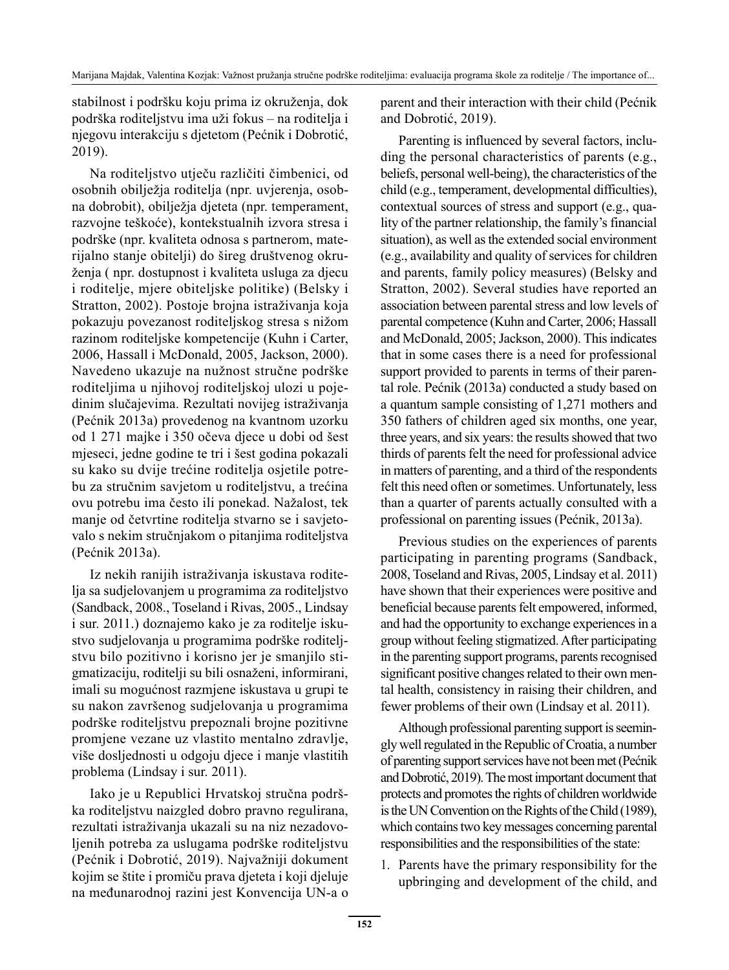stabilnost i podršku koju prima iz okruženja, dok podrška roditeljstvu ima uži fokus – na roditelja i njegovu interakciju s djetetom (Pećnik i Dobrotić, 2019).

Na roditeljstvo utječu različiti čimbenici, od osobnih obilježja roditelja (npr. uvjerenja, osobna dobrobit), obilježja djeteta (npr. temperament, razvojne teškoće), kontekstualnih izvora stresa i podrške (npr. kvaliteta odnosa s partnerom, materijalno stanje obitelji) do šireg društvenog okruženja ( npr. dostupnost i kvaliteta usluga za djecu i roditelje, mjere obiteljske politike) (Belsky i Stratton, 2002). Postoje brojna istraživanja koja pokazuju povezanost roditeljskog stresa s nižom razinom roditeljske kompetencije (Kuhn i Carter, 2006, Hassall i McDonald, 2005, Jackson, 2000). Navedeno ukazuje na nužnost stručne podrške roditeljima u njihovoj roditeljskoj ulozi u pojedinim slučajevima. Rezultati novijeg istraživanja (Pećnik 2013a) provedenog na kvantnom uzorku od 1 271 majke i 350 očeva djece u dobi od šest mjeseci, jedne godine te tri i šest godina pokazali su kako su dvije trećine roditelja osjetile potrebu za stručnim savjetom u roditeljstvu, a trećina ovu potrebu ima često ili ponekad. Nažalost, tek manje od četvrtine roditelja stvarno se i savjetovalo s nekim stručnjakom o pitanjima roditeljstva (Pećnik 2013a).

Iz nekih ranijih istraživanja iskustava roditelja sa sudjelovanjem u programima za roditeljstvo (Sandback, 2008., Toseland i Rivas, 2005., Lindsay i sur. 2011.) doznajemo kako je za roditelje iskustvo sudjelovanja u programima podrške roditeljstvu bilo pozitivno i korisno jer je smanjilo stigmatizaciju, roditelji su bili osnaženi, informirani, imali su mogućnost razmjene iskustava u grupi te su nakon završenog sudjelovanja u programima podrške roditeljstvu prepoznali brojne pozitivne promjene vezane uz vlastito mentalno zdravlje, više dosljednosti u odgoju djece i manje vlastitih problema (Lindsay i sur. 2011).

Iako je u Republici Hrvatskoj stručna podrška roditeljstvu naizgled dobro pravno regulirana, rezultati istraživanja ukazali su na niz nezadovoljenih potreba za uslugama podrške roditeljstvu (Pećnik i Dobrotić, 2019). Najvažniji dokument kojim se štite i promiču prava djeteta i koji djeluje na međunarodnoj razini jest Konvencija UN-a o parent and their interaction with their child (Pećnik and Dobrotić, 2019).

Parenting is influenced by several factors, including the personal characteristics of parents (e.g., beliefs, personal well-being), the characteristics of the child (e.g., temperament, developmental difficulties), contextual sources of stress and support (e.g., quality of the partner relationship, the family's financial situation), as well as the extended social environment (e.g., availability and quality of services for children and parents, family policy measures) (Belsky and Stratton, 2002). Several studies have reported an association between parental stress and low levels of parental competence (Kuhn and Carter, 2006; Hassall and McDonald, 2005; Jackson, 2000). This indicates that in some cases there is a need for professional support provided to parents in terms of their parental role. Pećnik (2013a) conducted a study based on a quantum sample consisting of 1,271 mothers and 350 fathers of children aged six months, one year, three years, and six years: the results showed that two thirds of parents felt the need for professional advice in matters of parenting, and a third of the respondents felt this need often or sometimes. Unfortunately, less than a quarter of parents actually consulted with a professional on parenting issues (Pećnik, 2013a).

Previous studies on the experiences of parents participating in parenting programs (Sandback, 2008, Toseland and Rivas, 2005, Lindsay et al. 2011) have shown that their experiences were positive and beneficial because parents felt empowered, informed, and had the opportunity to exchange experiences in a group without feeling stigmatized. After participating in the parenting support programs, parents recognised significant positive changes related to their own mental health, consistency in raising their children, and fewer problems of their own (Lindsay et al. 2011).

Although professional parenting support is seemingly well regulated in the Republic of Croatia, a number of parenting support services have not been met (Pećnik and Dobrotić, 2019). The most important document that protects and promotes the rights of children worldwide is the UN Convention on the Rights of the Child (1989), which contains two key messages concerning parental responsibilities and the responsibilities of the state:

1. Parents have the primary responsibility for the upbringing and development of the child, and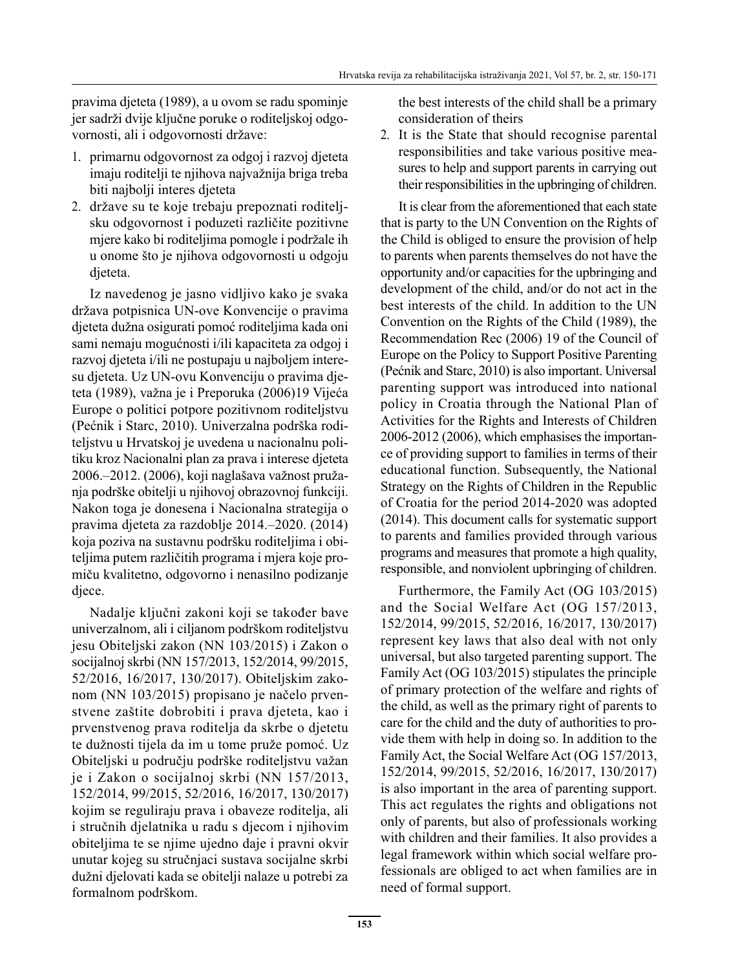pravima djeteta (1989), a u ovom se radu spominje jer sadrži dvije ključne poruke o roditeljskoj odgovornosti, ali i odgovornosti države:

- 1. primarnu odgovornost za odgoj i razvoj djeteta imaju roditelji te njihova najvažnija briga treba biti najbolji interes djeteta
- 2. države su te koje trebaju prepoznati roditeljsku odgovornost i poduzeti različite pozitivne mjere kako bi roditeljima pomogle i podržale ih u onome što je njihova odgovornosti u odgoju djeteta.

Iz navedenog je jasno vidljivo kako je svaka država potpisnica UN-ove Konvencije o pravima djeteta dužna osigurati pomoć roditeljima kada oni sami nemaju mogućnosti i/ili kapaciteta za odgoj i razvoj djeteta i/ili ne postupaju u najboljem interesu djeteta. Uz UN-ovu Konvenciju o pravima djeteta (1989), važna je i Preporuka (2006)19 Vijeća Europe o politici potpore pozitivnom roditeljstvu (Pećnik i Starc, 2010). Univerzalna podrška roditeljstvu u Hrvatskoj je uvedena u nacionalnu politiku kroz Nacionalni plan za prava i interese djeteta 2006.–2012. (2006), koji naglašava važnost pružanja podrške obitelji u njihovoj obrazovnoj funkciji. Nakon toga je donesena i Nacionalna strategija o pravima djeteta za razdoblje 2014.–2020. (2014) koja poziva na sustavnu podršku roditeljima i obiteljima putem različitih programa i mjera koje promiču kvalitetno, odgovorno i nenasilno podizanje djece.

Nadalje ključni zakoni koji se također bave univerzalnom, ali i ciljanom podrškom roditeljstvu jesu Obiteljski zakon (NN 103/2015) i Zakon o socijalnoj skrbi (NN 157/2013, 152/2014, 99/2015, 52/2016, 16/2017, 130/2017). Obiteljskim zakonom (NN 103/2015) propisano je načelo prvenstvene zaštite dobrobiti i prava djeteta, kao i prvenstvenog prava roditelja da skrbe o djetetu te dužnosti tijela da im u tome pruže pomoć. Uz Obiteljski u području podrške roditeljstvu važan je i Zakon o socijalnoj skrbi (NN 157/2013, 152/2014, 99/2015, 52/2016, 16/2017, 130/2017) kojim se reguliraju prava i obaveze roditelja, ali i stručnih djelatnika u radu s djecom i njihovim obiteljima te se njime ujedno daje i pravni okvir unutar kojeg su stručnjaci sustava socijalne skrbi dužni djelovati kada se obitelji nalaze u potrebi za formalnom podrškom.

the best interests of the child shall be a primary consideration of theirs

2. It is the State that should recognise parental responsibilities and take various positive measures to help and support parents in carrying out their responsibilities in the upbringing of children.

It is clear from the aforementioned that each state that is party to the UN Convention on the Rights of the Child is obliged to ensure the provision of help to parents when parents themselves do not have the opportunity and/or capacities for the upbringing and development of the child, and/or do not act in the best interests of the child. In addition to the UN Convention on the Rights of the Child (1989), the Recommendation Rec (2006) 19 of the Council of Europe on the Policy to Support Positive Parenting (Pećnik and Starc, 2010) is also important. Universal parenting support was introduced into national policy in Croatia through the National Plan of Activities for the Rights and Interests of Children 2006-2012 (2006), which emphasises the importance of providing support to families in terms of their educational function. Subsequently, the National Strategy on the Rights of Children in the Republic of Croatia for the period 2014-2020 was adopted (2014). This document calls for systematic support to parents and families provided through various programs and measures that promote a high quality, responsible, and nonviolent upbringing of children.

Furthermore, the Family Act (OG 103/2015) and the Social Welfare Act (OG 157/2013, 152/2014, 99/2015, 52/2016, 16/2017, 130/2017) represent key laws that also deal with not only universal, but also targeted parenting support. The Family Act (OG 103/2015) stipulates the principle of primary protection of the welfare and rights of the child, as well as the primary right of parents to care for the child and the duty of authorities to provide them with help in doing so. In addition to the Family Act, the Social Welfare Act (OG 157/2013, 152/2014, 99/2015, 52/2016, 16/2017, 130/2017) is also important in the area of parenting support. This act regulates the rights and obligations not only of parents, but also of professionals working with children and their families. It also provides a legal framework within which social welfare professionals are obliged to act when families are in need of formal support.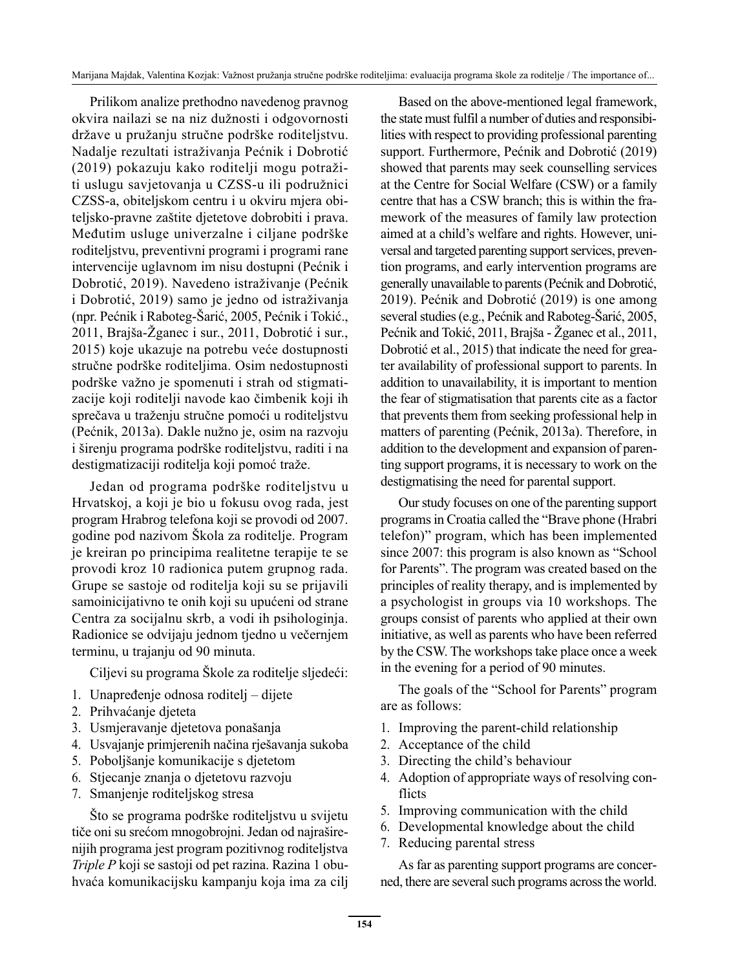Prilikom analize prethodno navedenog pravnog okvira nailazi se na niz dužnosti i odgovornosti države u pružanju stručne podrške roditeljstvu. Nadalje rezultati istraživanja Pećnik i Dobrotić (2019) pokazuju kako roditelji mogu potražiti uslugu savjetovanja u CZSS-u ili podružnici CZSS-a, obiteljskom centru i u okviru mjera obiteljsko-pravne zaštite djetetove dobrobiti i prava. Međutim usluge univerzalne i ciljane podrške roditeljstvu, preventivni programi i programi rane intervencije uglavnom im nisu dostupni (Pećnik i Dobrotić, 2019). Navedeno istraživanje (Pećnik i Dobrotić, 2019) samo je jedno od istraživanja (npr. Pećnik i Raboteg-Šarić, 2005, Pećnik i Tokić., 2011, Brajša-Žganec i sur., 2011, Dobrotić i sur., 2015) koje ukazuje na potrebu veće dostupnosti stručne podrške roditeljima. Osim nedostupnosti podrške važno je spomenuti i strah od stigmatizacije koji roditelji navode kao čimbenik koji ih sprečava u traženju stručne pomoći u roditeljstvu (Pećnik, 2013a). Dakle nužno je, osim na razvoju i širenju programa podrške roditeljstvu, raditi i na destigmatizaciji roditelja koji pomoć traže.

Jedan od programa podrške roditeljstvu u Hrvatskoj, a koji je bio u fokusu ovog rada, jest program Hrabrog telefona koji se provodi od 2007. godine pod nazivom Škola za roditelje. Program je kreiran po principima realitetne terapije te se provodi kroz 10 radionica putem grupnog rada. Grupe se sastoje od roditelja koji su se prijavili samoinicijativno te onih koji su upućeni od strane Centra za socijalnu skrb, a vodi ih psihologinja. Radionice se odvijaju jednom tjedno u večernjem terminu, u trajanju od 90 minuta.

Ciljevi su programa Škole za roditelje sljedeći:

- 1. Unapređenje odnosa roditelj dijete
- 2. Prihvaćanje djeteta
- 3. Usmjeravanje djetetova ponašanja
- 4. Usvajanje primjerenih načina rješavanja sukoba
- 5. Poboljšanje komunikacije s djetetom
- 6. Stjecanje znanja o djetetovu razvoju
- 7. Smanjenje roditeljskog stresa

Što se programa podrške roditeljstvu u svijetu tiče oni su srećom mnogobrojni. Jedan od najraširenijih programa jest program pozitivnog roditeljstva *Triple P* koji se sastoji od pet razina. Razina 1 obuhvaća komunikacijsku kampanju koja ima za cilj

Based on the above-mentioned legal framework, the state must fulfil a number of duties and responsibilities with respect to providing professional parenting support. Furthermore, Pećnik and Dobrotić (2019) showed that parents may seek counselling services at the Centre for Social Welfare (CSW) or a family centre that has a CSW branch; this is within the framework of the measures of family law protection aimed at a child's welfare and rights. However, universal and targeted parenting support services, prevention programs, and early intervention programs are generally unavailable to parents (Pećnik and Dobrotić, 2019). Pećnik and Dobrotić (2019) is one among several studies (e.g., Pećnik and Raboteg-Šarić, 2005, Pećnik and Tokić, 2011, Brajša - Žganec et al., 2011, Dobrotić et al., 2015) that indicate the need for greater availability of professional support to parents. In addition to unavailability, it is important to mention the fear of stigmatisation that parents cite as a factor that prevents them from seeking professional help in matters of parenting (Pećnik, 2013a). Therefore, in addition to the development and expansion of parenting support programs, it is necessary to work on the destigmatising the need for parental support.

Our study focuses on one of the parenting support programs in Croatia called the "Brave phone (Hrabri telefon)" program, which has been implemented since 2007: this program is also known as "School for Parents". The program was created based on the principles of reality therapy, and is implemented by a psychologist in groups via 10 workshops. The groups consist of parents who applied at their own initiative, as well as parents who have been referred by the CSW. The workshops take place once a week in the evening for a period of 90 minutes.

The goals of the "School for Parents" program are as follows:

- 1. Improving the parent-child relationship
- 2. Acceptance of the child
- 3. Directing the child's behaviour
- 4. Adoption of appropriate ways of resolving conflicts
- 5. Improving communication with the child
- 6. Developmental knowledge about the child
- 7. Reducing parental stress

As far as parenting support programs are concerned, there are several such programs across the world.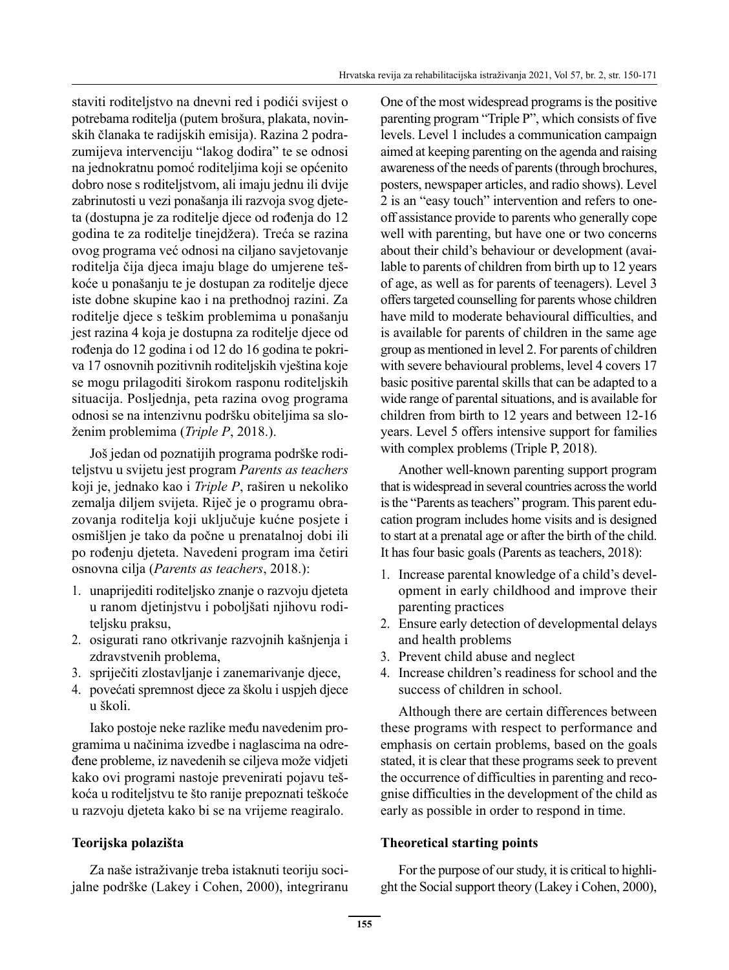staviti roditeljstvo na dnevni red i podići svijest o potrebama roditelja (putem brošura, plakata, novinskih članaka te radijskih emisija). Razina 2 podrazumijeva intervenciju "lakog dodira" te se odnosi na jednokratnu pomoć roditeljima koji se općenito dobro nose s roditeljstvom, ali imaju jednu ili dvije zabrinutosti u vezi ponašanja ili razvoja svog djeteta (dostupna je za roditelje djece od rođenja do 12 godina te za roditelje tinejdžera). Treća se razina ovog programa već odnosi na ciljano savjetovanje roditelja čija djeca imaju blage do umjerene teškoće u ponašanju te je dostupan za roditelje djece iste dobne skupine kao i na prethodnoj razini. Za roditelje djece s teškim problemima u ponašanju jest razina 4 koja je dostupna za roditelje djece od rođenja do 12 godina i od 12 do 16 godina te pokriva 17 osnovnih pozitivnih roditeljskih vještina koje se mogu prilagoditi širokom rasponu roditeljskih situacija. Posljednja, peta razina ovog programa odnosi se na intenzivnu podršku obiteljima sa složenim problemima (*Triple P*, 2018.).

Još jedan od poznatijih programa podrške roditeljstvu u svijetu jest program *Parents as teachers* koji je, jednako kao i *Triple P*, raširen u nekoliko zemalja diljem svijeta. Riječ je o programu obrazovanja roditelja koji uključuje kućne posjete i osmišljen je tako da počne u prenatalnoj dobi ili po rođenju djeteta. Navedeni program ima četiri osnovna cilja (*Parents as teachers*, 2018.):

- 1. unaprijediti roditeljsko znanje o razvoju djeteta u ranom djetinjstvu i poboljšati njihovu roditeljsku praksu,
- 2. osigurati rano otkrivanje razvojnih kašnjenja i zdravstvenih problema,
- 3. spriječiti zlostavljanje i zanemarivanje djece,
- 4. povećati spremnost djece za školu i uspjeh djece u školi.

Iako postoje neke razlike među navedenim programima u načinima izvedbe i naglascima na određene probleme, iz navedenih se ciljeva može vidjeti kako ovi programi nastoje prevenirati pojavu teškoća u roditeljstvu te što ranije prepoznati teškoće u razvoju djeteta kako bi se na vrijeme reagiralo.

## **Teorijska polazišta**

Za naše istraživanje treba istaknuti teoriju socijalne podrške (Lakey i Cohen, 2000), integriranu One of the most widespread programs is the positive parenting program "Triple P", which consists of five levels. Level 1 includes a communication campaign aimed at keeping parenting on the agenda and raising awareness of the needs of parents (through brochures, posters, newspaper articles, and radio shows). Level 2 is an "easy touch" intervention and refers to oneoff assistance provide to parents who generally cope well with parenting, but have one or two concerns about their child's behaviour or development (available to parents of children from birth up to 12 years of age, as well as for parents of teenagers). Level 3 offers targeted counselling for parents whose children have mild to moderate behavioural difficulties, and is available for parents of children in the same age group as mentioned in level 2. For parents of children with severe behavioural problems, level 4 covers 17 basic positive parental skills that can be adapted to a wide range of parental situations, and is available for children from birth to 12 years and between 12-16 years. Level 5 offers intensive support for families with complex problems (Triple P, 2018).

Another well-known parenting support program that is widespread in several countries across the world is the "Parents as teachers" program. This parent education program includes home visits and is designed to start at a prenatal age or after the birth of the child. It has four basic goals (Parents as teachers, 2018):

- 1. Increase parental knowledge of a child's development in early childhood and improve their parenting practices
- 2. Ensure early detection of developmental delays and health problems
- 3. Prevent child abuse and neglect
- 4. Increase children's readiness for school and the success of children in school.

Although there are certain differences between these programs with respect to performance and emphasis on certain problems, based on the goals stated, it is clear that these programs seek to prevent the occurrence of difficulties in parenting and recognise difficulties in the development of the child as early as possible in order to respond in time.

## **Theoretical starting points**

For the purpose of our study, it is critical to highlight the Social support theory (Lakey i Cohen, 2000),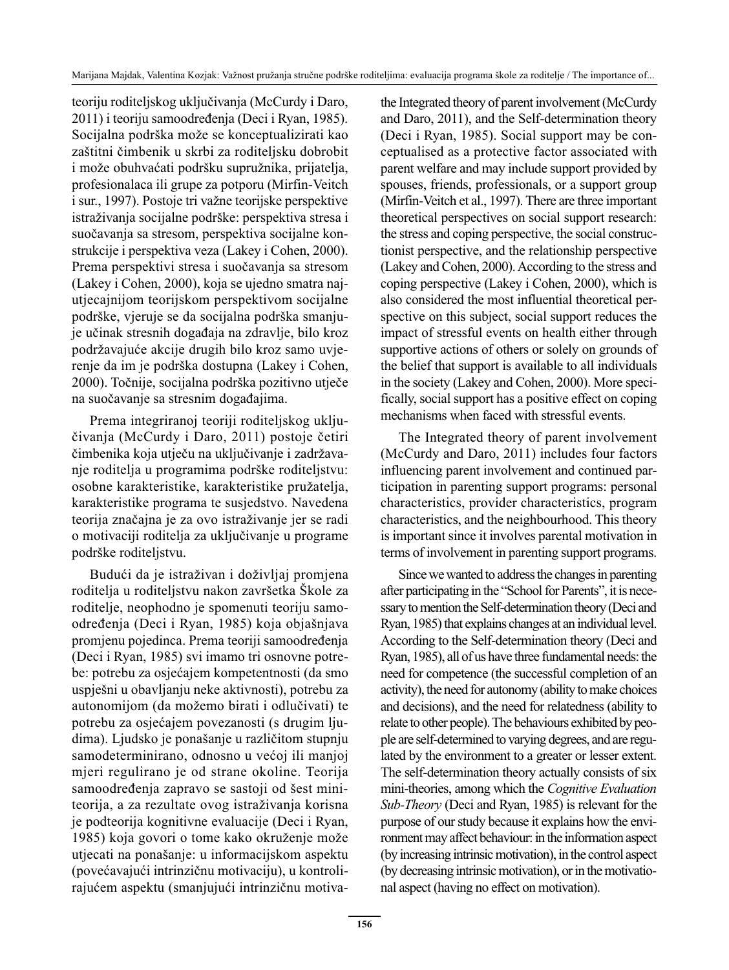teoriju roditeljskog uključivanja (McCurdy i Daro, 2011) i teoriju samoodređenja (Deci i Ryan, 1985). Socijalna podrška može se konceptualizirati kao zaštitni čimbenik u skrbi za roditeljsku dobrobit i može obuhvaćati podršku supružnika, prijatelja, profesionalaca ili grupe za potporu (Mirfin-Veitch i sur., 1997). Postoje tri važne teorijske perspektive istraživanja socijalne podrške: perspektiva stresa i suočavanja sa stresom, perspektiva socijalne konstrukcije i perspektiva veza (Lakey i Cohen, 2000). Prema perspektivi stresa i suočavanja sa stresom (Lakey i Cohen, 2000), koja se ujedno smatra najutjecajnijom teorijskom perspektivom socijalne podrške, vjeruje se da socijalna podrška smanjuje učinak stresnih događaja na zdravlje, bilo kroz podržavajuće akcije drugih bilo kroz samo uvjerenje da im je podrška dostupna (Lakey i Cohen, 2000). Točnije, socijalna podrška pozitivno utječe na suočavanje sa stresnim događajima.

Prema integriranoj teoriji roditeljskog uključivanja (McCurdy i Daro, 2011) postoje četiri čimbenika koja utječu na uključivanje i zadržavanje roditelja u programima podrške roditeljstvu: osobne karakteristike, karakteristike pružatelja, karakteristike programa te susjedstvo. Navedena teorija značajna je za ovo istraživanje jer se radi o motivaciji roditelja za uključivanje u programe podrške roditeljstvu.

Budući da je istraživan i doživljaj promjena roditelja u roditeljstvu nakon završetka Škole za roditelje, neophodno je spomenuti teoriju samoodređenja (Deci i Ryan, 1985) koja objašnjava promjenu pojedinca. Prema teoriji samoodređenja (Deci i Ryan, 1985) svi imamo tri osnovne potrebe: potrebu za osjećajem kompetentnosti (da smo uspješni u obavljanju neke aktivnosti), potrebu za autonomijom (da možemo birati i odlučivati) te potrebu za osjećajem povezanosti (s drugim ljudima). Ljudsko je ponašanje u različitom stupnju samodeterminirano, odnosno u većoj ili manjoj mjeri regulirano je od strane okoline. Teorija samoodređenja zapravo se sastoji od šest miniteorija, a za rezultate ovog istraživanja korisna je podteorija kognitivne evaluacije (Deci i Ryan, 1985) koja govori o tome kako okruženje može utjecati na ponašanje: u informacijskom aspektu (povećavajući intrinzičnu motivaciju), u kontrolirajućem aspektu (smanjujući intrinzičnu motivathe Integrated theory of parent involvement (McCurdy and Daro, 2011), and the Self-determination theory (Deci i Ryan, 1985). Social support may be conceptualised as a protective factor associated with parent welfare and may include support provided by spouses, friends, professionals, or a support group (Mirfin-Veitch et al., 1997). There are three important theoretical perspectives on social support research: the stress and coping perspective, the social constructionist perspective, and the relationship perspective (Lakey and Cohen, 2000). According to the stress and coping perspective (Lakey i Cohen, 2000), which is also considered the most influential theoretical perspective on this subject, social support reduces the impact of stressful events on health either through supportive actions of others or solely on grounds of the belief that support is available to all individuals in the society (Lakey and Cohen, 2000). More specifically, social support has a positive effect on coping mechanisms when faced with stressful events.

The Integrated theory of parent involvement (McCurdy and Daro, 2011) includes four factors influencing parent involvement and continued participation in parenting support programs: personal characteristics, provider characteristics, program characteristics, and the neighbourhood. This theory is important since it involves parental motivation in terms of involvement in parenting support programs.

Since we wanted to address the changes in parenting after participating in the "School for Parents", it is necessary to mention the Self-determination theory (Deci and Ryan, 1985) that explains changes at an individual level. According to the Self-determination theory (Deci and Ryan, 1985), all of us have three fundamental needs: the need for competence (the successful completion of an activity), the need for autonomy (ability to make choices and decisions), and the need for relatedness (ability to relate to other people). The behaviours exhibited by people are self-determined to varying degrees, and are regulated by the environment to a greater or lesser extent. The self-determination theory actually consists of six mini-theories, among which the *Cognitive Evaluation Sub-Theory* (Deci and Ryan, 1985) is relevant for the purpose of our study because it explains how the environment may affect behaviour: in the information aspect (by increasing intrinsic motivation), in the control aspect (by decreasing intrinsic motivation), or in the motivational aspect (having no effect on motivation).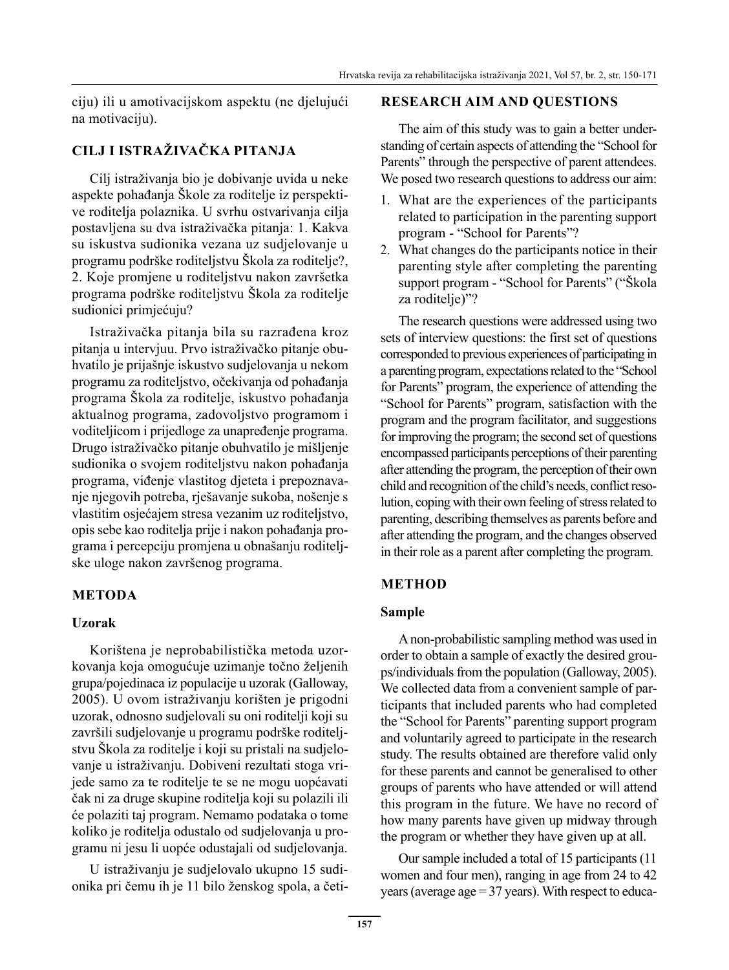ciju) ili u amotivacijskom aspektu (ne djelujući na motivaciju).

# **CILJ I ISTRAŽIVAČKA PITANJA**

Cilj istraživanja bio je dobivanje uvida u neke aspekte pohađanja Škole za roditelje iz perspektive roditelja polaznika. U svrhu ostvarivanja cilja postavljena su dva istraživačka pitanja: 1. Kakva su iskustva sudionika vezana uz sudjelovanje u programu podrške roditeljstvu Škola za roditelje?, 2. Koje promjene u roditeljstvu nakon završetka programa podrške roditeljstvu Škola za roditelje sudionici primjećuju?

Istraživačka pitanja bila su razrađena kroz pitanja u intervjuu. Prvo istraživačko pitanje obuhvatilo je prijašnje iskustvo sudjelovanja u nekom programu za roditeljstvo, očekivanja od pohađanja programa Škola za roditelje, iskustvo pohađanja aktualnog programa, zadovoljstvo programom i voditeljicom i prijedloge za unapređenje programa. Drugo istraživačko pitanje obuhvatilo je mišljenje sudionika o svojem roditeljstvu nakon pohađanja programa, viđenje vlastitog djeteta i prepoznavanje njegovih potreba, rješavanje sukoba, nošenje s vlastitim osjećajem stresa vezanim uz roditeljstvo, opis sebe kao roditelja prije i nakon pohađanja programa i percepciju promjena u obnašanju roditeljske uloge nakon završenog programa.

## **METODA**

#### **Uzorak**

Korištena je neprobabilistička metoda uzorkovanja koja omogućuje uzimanje točno željenih grupa/pojedinaca iz populacije u uzorak (Galloway, 2005). U ovom istraživanju korišten je prigodni uzorak, odnosno sudjelovali su oni roditelji koji su završili sudjelovanje u programu podrške roditeljstvu Škola za roditelje i koji su pristali na sudjelovanje u istraživanju. Dobiveni rezultati stoga vrijede samo za te roditelje te se ne mogu uopćavati čak ni za druge skupine roditelja koji su polazili ili će polaziti taj program. Nemamo podataka o tome koliko je roditelja odustalo od sudjelovanja u programu ni jesu li uopće odustajali od sudjelovanja.

U istraživanju je sudjelovalo ukupno 15 sudionika pri čemu ih je 11 bilo ženskog spola, a četi-

#### **RESEARCH AIM AND QUESTIONS**

The aim of this study was to gain a better understanding of certain aspects of attending the "School for Parents" through the perspective of parent attendees. We posed two research questions to address our aim:

- 1. What are the experiences of the participants related to participation in the parenting support program - "School for Parents"?
- 2. What changes do the participants notice in their parenting style after completing the parenting support program - "School for Parents" ("Škola za roditelie)"?

The research questions were addressed using two sets of interview questions: the first set of questions corresponded to previous experiences of participating in a parenting program, expectations related to the "School for Parents" program, the experience of attending the "School for Parents" program, satisfaction with the program and the program facilitator, and suggestions for improving the program; the second set of questions encompassed participants perceptions of their parenting after attending the program, the perception of their own child and recognition of the child's needs, conflict resolution, coping with their own feeling of stress related to parenting, describing themselves as parents before and after attending the program, and the changes observed in their role as a parent after completing the program.

## **METHOD**

#### **Sample**

A non-probabilistic sampling method was used in order to obtain a sample of exactly the desired groups/individuals from the population (Galloway, 2005). We collected data from a convenient sample of participants that included parents who had completed the "School for Parents" parenting support program and voluntarily agreed to participate in the research study. The results obtained are therefore valid only for these parents and cannot be generalised to other groups of parents who have attended or will attend this program in the future. We have no record of how many parents have given up midway through the program or whether they have given up at all.

Our sample included a total of 15 participants (11 women and four men), ranging in age from 24 to 42 years (average age = 37 years). With respect to educa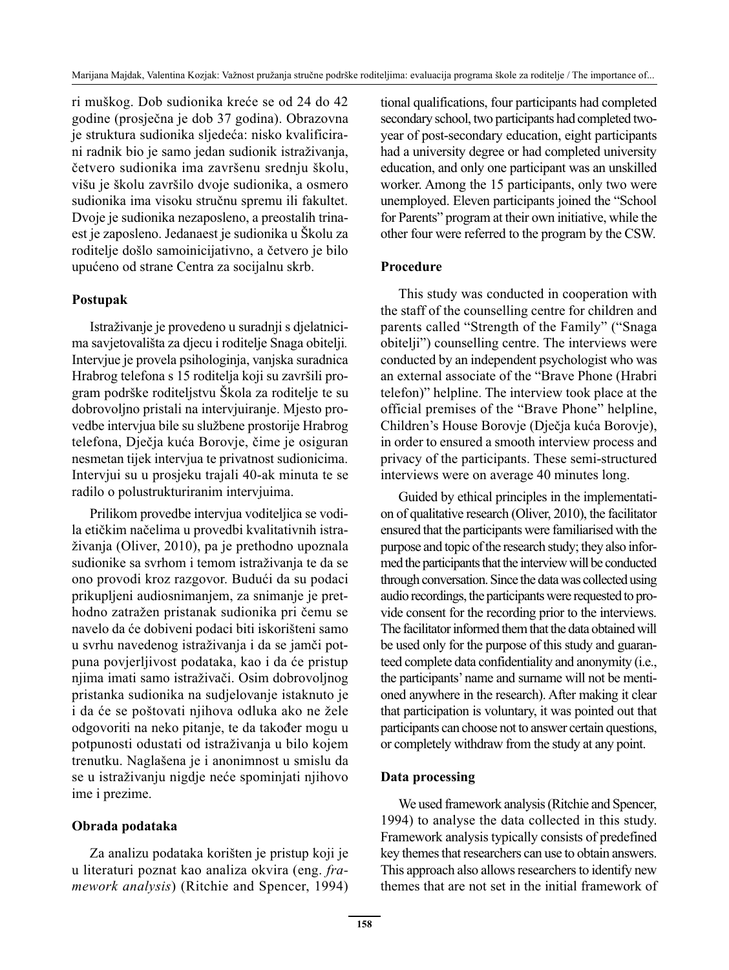ri muškog. Dob sudionika kreće se od 24 do 42 godine (prosječna je dob 37 godina). Obrazovna je struktura sudionika sljedeća: nisko kvalificirani radnik bio je samo jedan sudionik istraživanja, četvero sudionika ima završenu srednju školu, višu je školu završilo dvoje sudionika, a osmero sudionika ima visoku stručnu spremu ili fakultet. Dvoje je sudionika nezaposleno, a preostalih trinaest je zaposleno. Jedanaest je sudionika u Školu za roditelje došlo samoinicijativno, a četvero je bilo upućeno od strane Centra za socijalnu skrb.

#### **Postupak**

Istraživanje je provedeno u suradnji s djelatnicima savjetovališta za djecu i roditelje Snaga obitelji*.*  Intervjue je provela psihologinja, vanjska suradnica Hrabrog telefona s 15 roditelja koji su završili program podrške roditeljstvu Škola za roditelje te su dobrovoljno pristali na intervjuiranje. Mjesto provedbe intervjua bile su službene prostorije Hrabrog telefona, Dječja kuća Borovje, čime je osiguran nesmetan tijek intervjua te privatnost sudionicima. Intervjui su u prosjeku trajali 40-ak minuta te se radilo o polustrukturiranim intervjuima.

Prilikom provedbe intervjua voditeljica se vodila etičkim načelima u provedbi kvalitativnih istraživanja (Oliver, 2010), pa je prethodno upoznala sudionike sa svrhom i temom istraživanja te da se ono provodi kroz razgovor. Budući da su podaci prikupljeni audiosnimanjem, za snimanje je prethodno zatražen pristanak sudionika pri čemu se navelo da će dobiveni podaci biti iskorišteni samo u svrhu navedenog istraživanja i da se jamči potpuna povjerljivost podataka, kao i da će pristup njima imati samo istraživači. Osim dobrovoljnog pristanka sudionika na sudjelovanje istaknuto je i da će se poštovati njihova odluka ako ne žele odgovoriti na neko pitanje, te da također mogu u potpunosti odustati od istraživanja u bilo kojem trenutku. Naglašena je i anonimnost u smislu da se u istraživanju nigdje neće spominjati njihovo ime i prezime.

## **Obrada podataka**

Za analizu podataka korišten je pristup koji je u literaturi poznat kao analiza okvira (eng. *framework analysis*) (Ritchie and Spencer, 1994) tional qualifications, four participants had completed secondary school, two participants had completed twoyear of post-secondary education, eight participants had a university degree or had completed university education, and only one participant was an unskilled worker. Among the 15 participants, only two were unemployed. Eleven participants joined the "School for Parents" program at their own initiative, while the other four were referred to the program by the CSW.

#### **Procedure**

This study was conducted in cooperation with the staff of the counselling centre for children and parents called "Strength of the Family" ("Snaga obitelji") counselling centre. The interviews were conducted by an independent psychologist who was an external associate of the "Brave Phone (Hrabri telefon)" helpline. The interview took place at the official premises of the "Brave Phone" helpline, Children's House Borovje (Dječja kuća Borovje), in order to ensured a smooth interview process and privacy of the participants. These semi-structured interviews were on average 40 minutes long.

Guided by ethical principles in the implementation of qualitative research (Oliver, 2010), the facilitator ensured that the participants were familiarised with the purpose and topic of the research study; they also informed the participants that the interview will be conducted through conversation. Since the data was collected using audio recordings, the participants were requested to provide consent for the recording prior to the interviews. The facilitator informed them that the data obtained will be used only for the purpose of this study and guaranteed complete data confidentiality and anonymity (i.e., the participants' name and surname will not be mentioned anywhere in the research). After making it clear that participation is voluntary, it was pointed out that participants can choose not to answer certain questions, or completely withdraw from the study at any point.

## **Data processing**

We used framework analysis (Ritchie and Spencer, 1994) to analyse the data collected in this study. Framework analysis typically consists of predefined key themes that researchers can use to obtain answers. This approach also allows researchers to identify new themes that are not set in the initial framework of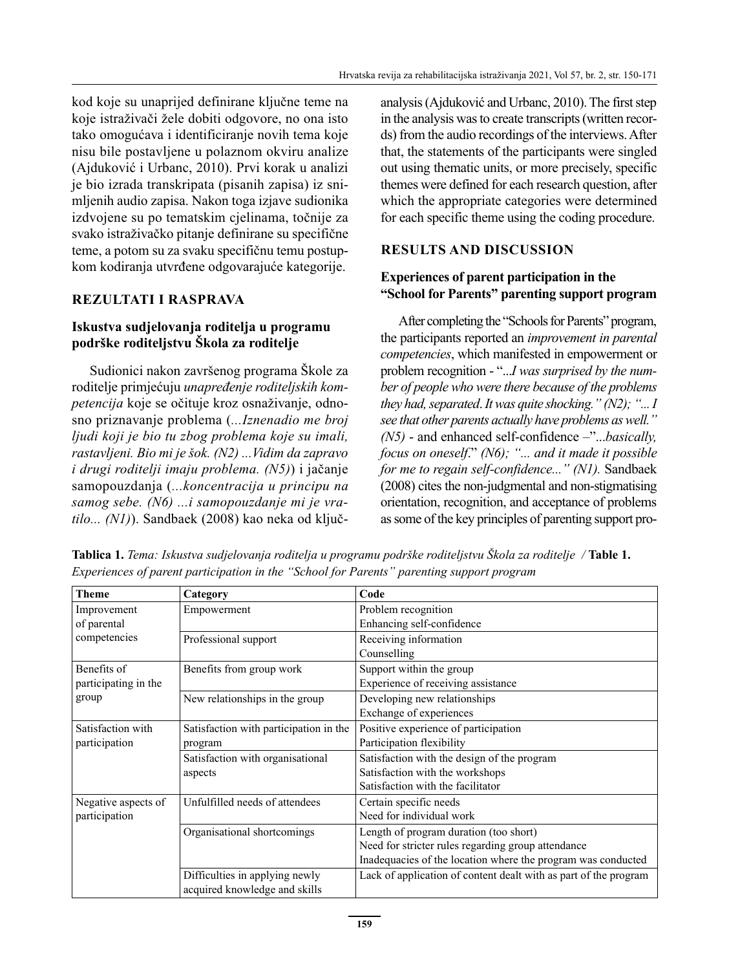kod koje su unaprijed definirane ključne teme na koje istraživači žele dobiti odgovore, no ona isto tako omogućava i identificiranje novih tema koje nisu bile postavljene u polaznom okviru analize (Ajduković i Urbanc, 2010). Prvi korak u analizi je bio izrada transkripata (pisanih zapisa) iz snimljenih audio zapisa. Nakon toga izjave sudionika izdvojene su po tematskim cjelinama, točnije za svako istraživačko pitanje definirane su specifične teme, a potom su za svaku specifičnu temu postupkom kodiranja utvrđene odgovarajuće kategorije.

# **REZULTATI I RASPRAVA**

## **Iskustva sudjelovanja roditelja u programu podrške roditeljstvu Škola za roditelje**

Sudionici nakon završenog programa Škole za roditelje primjećuju *unapređenje roditeljskih kompetencija* koje se očituje kroz osnaživanje, odnosno priznavanje problema (*...Iznenadio me broj ljudi koji je bio tu zbog problema koje su imali, rastavljeni. Bio mi je šok. (N2) ...Vidim da zapravo i drugi roditelji imaju problema. (N5)*) i jačanje samopouzdanja (*...koncentracija u principu na samog sebe. (N6) ...i samopouzdanje mi je vratilo... (N1)*). Sandbaek (2008) kao neka od ključanalysis (Ajduković and Urbanc, 2010). The first step in the analysis was to create transcripts (written records) from the audio recordings of the interviews. After that, the statements of the participants were singled out using thematic units, or more precisely, specific themes were defined for each research question, after which the appropriate categories were determined for each specific theme using the coding procedure.

# **RESULTS AND DISCUSSION**

#### **Experiences of parent participation in the "School for Parents" parenting support program**

After completing the "Schools for Parents" program, the participants reported an *improvement in parental competencies*, which manifested in empowerment or problem recognition - "...*I was surprised by the number of people who were there because of the problems they had, separated*. *It was quite shocking." (N2); "... I see that other parents actually have problems as well." (N5)* - and enhanced self-confidence –"...*basically, focus on oneself*." *(N6); "... and it made it possible for me to regain self-confidence..." (N1).* Sandbaek (2008) cites the non-judgmental and non-stigmatising orientation, recognition, and acceptance of problems as some of the key principles of parenting support pro-

| <b>Theme</b>         | Category                               | Code                                                             |
|----------------------|----------------------------------------|------------------------------------------------------------------|
| Improvement          | Empowerment                            | Problem recognition                                              |
| of parental          |                                        | Enhancing self-confidence                                        |
| competencies         | Professional support                   | Receiving information                                            |
|                      |                                        | Counselling                                                      |
| Benefits of          | Benefits from group work               | Support within the group                                         |
| participating in the |                                        | Experience of receiving assistance                               |
| group                | New relationships in the group         | Developing new relationships                                     |
|                      |                                        | Exchange of experiences                                          |
| Satisfaction with    | Satisfaction with participation in the | Positive experience of participation                             |
| participation        | program                                | Participation flexibility                                        |
|                      | Satisfaction with organisational       | Satisfaction with the design of the program                      |
|                      | aspects                                | Satisfaction with the workshops                                  |
|                      |                                        | Satisfaction with the facilitator                                |
| Negative aspects of  | Unfulfilled needs of attendees         | Certain specific needs                                           |
| participation        |                                        | Need for individual work                                         |
|                      | Organisational shortcomings            | Length of program duration (too short)                           |
|                      |                                        | Need for stricter rules regarding group attendance               |
|                      |                                        | Inadequacies of the location where the program was conducted     |
|                      | Difficulties in applying newly         | Lack of application of content dealt with as part of the program |
|                      | acquired knowledge and skills          |                                                                  |

**Tablica 1.** *Tema: Iskustva sudjelovanja roditelja u programu podrške roditeljstvu Škola za roditelje /* **Table 1.** *Experiences of parent participation in the "School for Parents" parenting support program*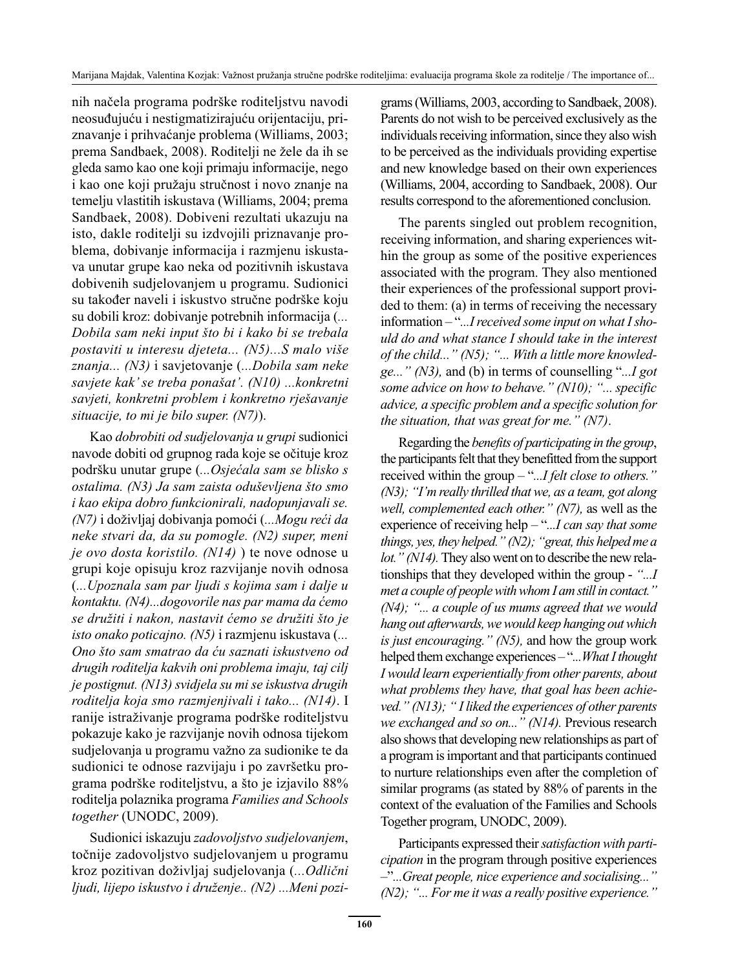nih načela programa podrške roditeljstvu navodi neosuđujuću i nestigmatizirajuću orijentaciju, priznavanje i prihvaćanje problema (Williams, 2003; prema Sandbaek, 2008). Roditelji ne žele da ih se gleda samo kao one koji primaju informacije, nego i kao one koji pružaju stručnost i novo znanje na temelju vlastitih iskustava (Williams, 2004; prema Sandbaek, 2008). Dobiveni rezultati ukazuju na isto, dakle roditelji su izdvojili priznavanje problema, dobivanje informacija i razmjenu iskustava unutar grupe kao neka od pozitivnih iskustava dobivenih sudjelovanjem u programu. Sudionici su također naveli i iskustvo stručne podrške koju su dobili kroz: dobivanje potrebnih informacija (*... Dobila sam neki input što bi i kako bi se trebala postaviti u interesu djeteta... (N5)...S malo više znanja... (N3)* i savjetovanje (*...Dobila sam neke savjete kak' se treba ponašat'. (N10) ...konkretni savjeti, konkretni problem i konkretno rješavanje situacije, to mi je bilo super. (N7)*).

Kao *dobrobiti od sudjelovanja u grupi* sudionici navode dobiti od grupnog rada koje se očituje kroz podršku unutar grupe (*...Osjećala sam se blisko s ostalima. (N3) Ja sam zaista oduševljena što smo i kao ekipa dobro funkcionirali, nadopunjavali se. (N7)* i doživljaj dobivanja pomoći (*...Mogu reći da neke stvari da, da su pomogle. (N2) super, meni je ovo dosta koristilo. (N14)* ) te nove odnose u grupi koje opisuju kroz razvijanje novih odnosa (*...Upoznala sam par ljudi s kojima sam i dalje u kontaktu. (N4)...dogovorile nas par mama da ćemo se družiti i nakon, nastavit ćemo se družiti što je isto onako poticajno. (N5)* i razmjenu iskustava (*... Ono što sam smatrao da ću saznati iskustveno od drugih roditelja kakvih oni problema imaju, taj cilj je postignut. (N13) svidjela su mi se iskustva drugih roditelja koja smo razmjenjivali i tako... (N14)*. I ranije istraživanje programa podrške roditeljstvu pokazuje kako je razvijanje novih odnosa tijekom sudjelovanja u programu važno za sudionike te da sudionici te odnose razvijaju i po završetku programa podrške roditeljstvu, a što je izjavilo 88% roditelja polaznika programa *Families and Schools together* (UNODC, 2009).

Sudionici iskazuju *zadovoljstvo sudjelovanjem*, točnije zadovoljstvo sudjelovanjem u programu kroz pozitivan doživljaj sudjelovanja (*...Odlični ljudi, lijepo iskustvo i druženje.. (N2) ...Meni pozi-* grams (Williams, 2003, according to Sandbaek, 2008). Parents do not wish to be perceived exclusively as the individuals receiving information, since they also wish to be perceived as the individuals providing expertise and new knowledge based on their own experiences (Williams, 2004, according to Sandbaek, 2008). Our results correspond to the aforementioned conclusion.

The parents singled out problem recognition, receiving information, and sharing experiences within the group as some of the positive experiences associated with the program. They also mentioned their experiences of the professional support provided to them: (a) in terms of receiving the necessary information – "*...I received some input on what I should do and what stance I should take in the interest of the child..." (N5); "... With a little more knowledge..." (N3),* and (b) in terms of counselling "*...I got some advice on how to behave." (N10); "... specific advice, a specific problem and a specific solution for the situation, that was great for me." (N7)*.

Regarding the *benefits of participating in the group*, the participants felt that they benefitted from the support received within the group – "*...I felt close to others." (N3); "I'm really thrilled that we, as a team, got along well, complemented each other." (N7),* as well as the experience of receiving help – "*...I can say that some things, yes, they helped." (N2); "great, this helped me a lot." (N14).* They also went on to describe the new relationships that they developed within the group - *"...I met a couple of people with whom I am still in contact." (N4); "... a couple of us mums agreed that we would hang out afterwards, we would keep hanging out which is just encouraging." (N5),* and how the group work helped them exchange experiences – "*...What I thought I would learn experientially from other parents, about what problems they have, that goal has been achieved." (N13); " I liked the experiences of other parents we exchanged and so on..." (N14).* Previous research also shows that developing new relationships as part of a program is important and that participants continued to nurture relationships even after the completion of similar programs (as stated by 88% of parents in the context of the evaluation of the Families and Schools Together program, UNODC, 2009).

Participants expressed their *satisfaction with participation* in the program through positive experiences –"*...Great people, nice experience and socialising..." (N2); "... For me it was a really positive experience."*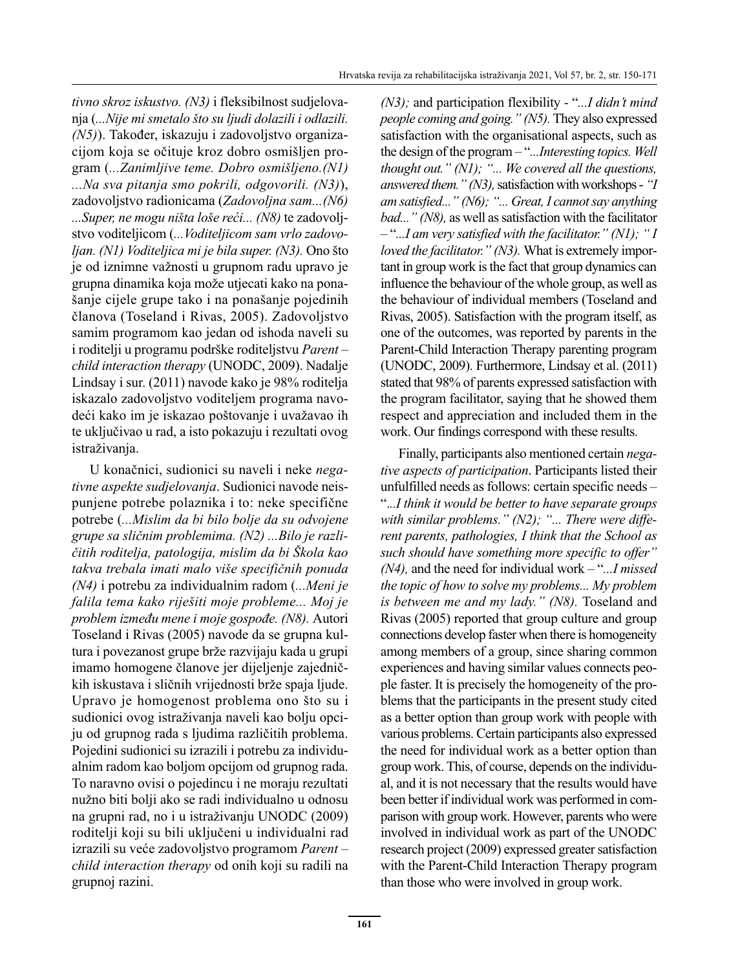*tivno skroz iskustvo. (N3)* i fleksibilnost sudjelovanja (*...Nije mi smetalo što su ljudi dolazili i odlazili. (N5)*). Također, iskazuju i zadovoljstvo organizacijom koja se očituje kroz dobro osmišljen program (*...Zanimljive teme. Dobro osmišljeno.(N1) ...Na sva pitanja smo pokrili, odgovorili. (N3)*), zadovoljstvo radionicama (*Zadovoljna sam...(N6) ...Super, ne mogu ništa loše reći... (N8)* te zadovoljstvo voditeljicom (*...Voditeljicom sam vrlo zadovoljan. (N1) Voditeljica mi je bila super. (N3).* Ono što je od iznimne važnosti u grupnom radu upravo je grupna dinamika koja može utjecati kako na ponašanje cijele grupe tako i na ponašanje pojedinih članova (Toseland i Rivas, 2005). Zadovoljstvo samim programom kao jedan od ishoda naveli su i roditelji u programu podrške roditeljstvu *Parent – child interaction therapy* (UNODC, 2009). Nadalje Lindsay i sur. (2011) navode kako je 98% roditelja iskazalo zadovoljstvo voditeljem programa navodeći kako im je iskazao poštovanje i uvažavao ih te uključivao u rad, a isto pokazuju i rezultati ovog istraživanja.

U konačnici, sudionici su naveli i neke *negativne aspekte sudjelovanja*. Sudionici navode neispunjene potrebe polaznika i to: neke specifične potrebe (*...Mislim da bi bilo bolje da su odvojene grupe sa sličnim problemima. (N2) ...Bilo je različitih roditelja, patologija, mislim da bi Škola kao takva trebala imati malo više specifičnih ponuda (N4)* i potrebu za individualnim radom (*...Meni je falila tema kako riješiti moje probleme... Moj je problem između mene i moje gospođe. (N8).* Autori Toseland i Rivas (2005) navode da se grupna kultura i povezanost grupe brže razvijaju kada u grupi imamo homogene članove jer dijeljenje zajedničkih iskustava i sličnih vrijednosti brže spaja ljude. Upravo je homogenost problema ono što su i sudionici ovog istraživanja naveli kao bolju opciju od grupnog rada s ljudima različitih problema. Pojedini sudionici su izrazili i potrebu za individualnim radom kao boljom opcijom od grupnog rada. To naravno ovisi o pojedincu i ne moraju rezultati nužno biti bolji ako se radi individualno u odnosu na grupni rad, no i u istraživanju UNODC (2009) roditelji koji su bili uključeni u individualni rad izrazili su veće zadovoljstvo programom *Parent – child interaction therapy* od onih koji su radili na grupnoj razini.

*(N3);* and participation flexibility *-* "*...I didn't mind people coming and going." (N5).* They also expressed satisfaction with the organisational aspects, such as the design of the program – "*...Interesting topics. Well thought out." (N1); "... We covered all the questions, answered them." (N3),* satisfaction with workshops - *"I am satisfied..." (N6); "... Great, I cannot say anything bad..." (N8),* as well as satisfaction with the facilitator – "*...I am very satisfied with the facilitator." (N1); " I loved the facilitator." (N3).* What is extremely important in group work is the fact that group dynamics can influence the behaviour of the whole group, as well as the behaviour of individual members (Toseland and Rivas, 2005). Satisfaction with the program itself, as one of the outcomes, was reported by parents in the Parent-Child Interaction Therapy parenting program (UNODC, 2009). Furthermore, Lindsay et al. (2011) stated that 98% of parents expressed satisfaction with the program facilitator, saying that he showed them respect and appreciation and included them in the work. Our findings correspond with these results.

Finally, participants also mentioned certain *negative aspects of participation*. Participants listed their unfulfilled needs as follows: certain specific needs – ".*..I think it would be better to have separate groups*  with similar problems." (N2); "... There were diffe*rent parents, pathologies, I think that the School as such should have something more specific to offer" (N4),* and the need for individual work – "*...I missed the topic of how to solve my problems... My problem is between me and my lady." (N8).* Toseland and Rivas (2005) reported that group culture and group connections develop faster when there is homogeneity among members of a group, since sharing common experiences and having similar values connects people faster. It is precisely the homogeneity of the problems that the participants in the present study cited as a better option than group work with people with various problems. Certain participants also expressed the need for individual work as a better option than group work. This, of course, depends on the individual, and it is not necessary that the results would have been better if individual work was performed in comparison with group work. However, parents who were involved in individual work as part of the UNODC research project (2009) expressed greater satisfaction with the Parent-Child Interaction Therapy program than those who were involved in group work.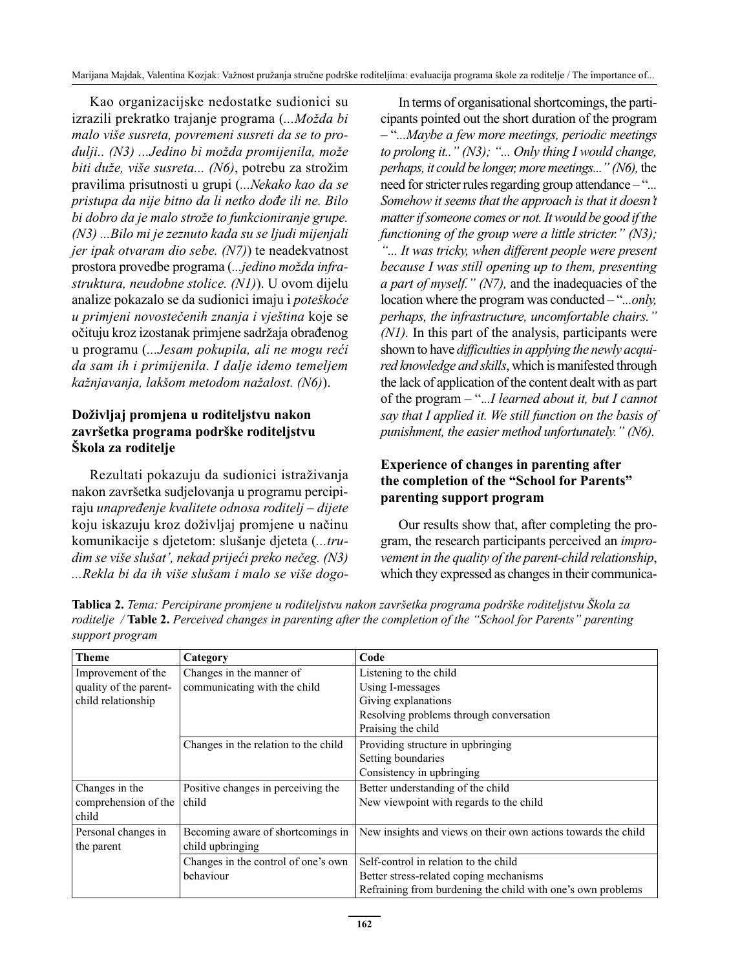Kao organizacijske nedostatke sudionici su izrazili prekratko trajanje programa (*...Možda bi malo više susreta, povremeni susreti da se to produlji.. (N3) ...Jedino bi možda promijenila, može biti duže, više susreta... (N6)*, potrebu za strožim pravilima prisutnosti u grupi (*...Nekako kao da se pristupa da nije bitno da li netko dođe ili ne. Bilo bi dobro da je malo strože to funkcioniranje grupe. (N3) ...Bilo mi je zeznuto kada su se ljudi mijenjali jer ipak otvaram dio sebe. (N7)*) te neadekvatnost prostora provedbe programa (*...jedino možda infrastruktura, neudobne stolice. (N1)*). U ovom dijelu analize pokazalo se da sudionici imaju i *poteškoće u primjeni novostečenih znanja i vještina* koje se očituju kroz izostanak primjene sadržaja obrađenog u programu (*...Jesam pokupila, ali ne mogu reći da sam ih i primijenila. I dalje idemo temeljem kažnjavanja, lakšom metodom nažalost. (N6)*).

## **Doživljaj promjena u roditeljstvu nakon završetka programa podrške roditeljstvu Škola za roditelje**

Rezultati pokazuju da sudionici istraživanja nakon završetka sudjelovanja u programu percipiraju *unapređenje kvalitete odnosa roditelj – dijete* koju iskazuju kroz doživljaj promjene u načinu komunikacije s djetetom: slušanje djeteta (*...trudim se više slušat', nekad prijeći preko nečeg. (N3) ...Rekla bi da ih više slušam i malo se više dogo-*

In terms of organisational shortcomings, the participants pointed out the short duration of the program – "*...Maybe a few more meetings, periodic meetings to prolong it.." (N3); "... Only thing I would change, perhaps, it could be longer, more meetings..." (N6),* the need for stricter rules regarding group attendance – "*... Somehow it seems that the approach is that it doesn't matter if someone comes or not. It would be good if the functioning of the group were a little stricter." (N3); "... It was tricky, when different people were present because I was still opening up to them, presenting a part of myself." (N7),* and the inadequacies of the location where the program was conducted – "*...only, perhaps, the infrastructure, uncomfortable chairs." (N1).* In this part of the analysis, participants were shown to have *difficulties in applying the newly acquired knowledge and skills*, which is manifested through the lack of application of the content dealt with as part of the program – ".*..I learned about it, but I cannot say that I applied it. We still function on the basis of punishment, the easier method unfortunately." (N6).*

# **Experience of changes in parenting after the completion of the "School for Parents" parenting support program**

Our results show that, after completing the program, the research participants perceived an *improvement in the quality of the parent-child relationship*, which they expressed as changes in their communica-

| Tablica 2. Tema: Percipirane promjene u roditeljstvu nakon završetka programa podrške roditeljstvu Škola za    |  |
|----------------------------------------------------------------------------------------------------------------|--|
| roditelje / Table 2. Perceived changes in parenting after the completion of the "School for Parents" parenting |  |
| support program                                                                                                |  |

| <b>Theme</b>               | Category                             | Code                                                          |
|----------------------------|--------------------------------------|---------------------------------------------------------------|
| Improvement of the         | Changes in the manner of             | Listening to the child                                        |
| quality of the parent-     | communicating with the child         | Using I-messages                                              |
| child relationship         |                                      | Giving explanations                                           |
|                            |                                      | Resolving problems through conversation                       |
|                            |                                      | Praising the child                                            |
|                            | Changes in the relation to the child | Providing structure in upbringing                             |
|                            |                                      | Setting boundaries                                            |
|                            |                                      | Consistency in upbringing                                     |
| Changes in the             | Positive changes in perceiving the   | Better understanding of the child                             |
| comprehension of the child |                                      | New viewpoint with regards to the child                       |
| child                      |                                      |                                                               |
| Personal changes in        | Becoming aware of shortcomings in    | New insights and views on their own actions towards the child |
| the parent                 | child upbringing                     |                                                               |
|                            | Changes in the control of one's own  | Self-control in relation to the child                         |
|                            | behaviour                            | Better stress-related coping mechanisms                       |
|                            |                                      | Refraining from burdening the child with one's own problems   |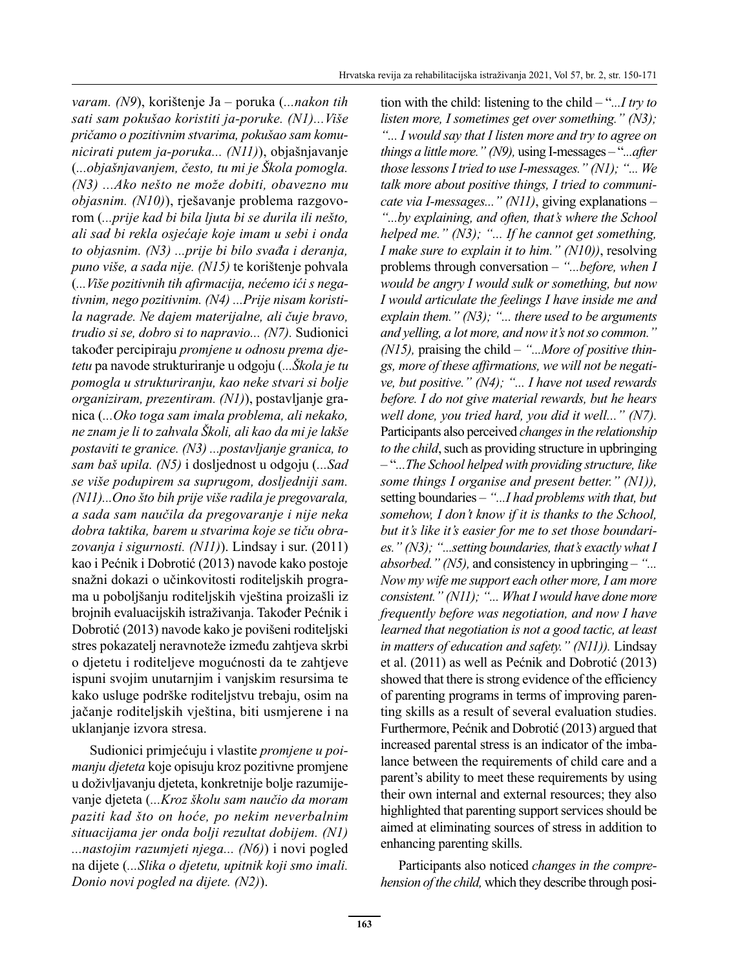*varam. (N9*), korištenje Ja – poruka (*...nakon tih sati sam pokušao koristiti ja-poruke. (N1)...Više pričamo o pozitivnim stvarima, pokušao sam komunicirati putem ja-poruka... (N11)*), objašnjavanje (*...objašnjavanjem, često, tu mi je Škola pomogla. (N3) ...Ako nešto ne može dobiti, obavezno mu objasnim. (N10)*), rješavanje problema razgovorom (*...prije kad bi bila ljuta bi se durila ili nešto, ali sad bi rekla osjećaje koje imam u sebi i onda to objasnim. (N3) ...prije bi bilo svađa i deranja, puno više, a sada nije. (N15)* te korištenje pohvala (*...Više pozitivnih tih afirmacija, nećemo ići s negativnim, nego pozitivnim. (N4) ...Prije nisam koristila nagrade. Ne dajem materijalne, ali čuje bravo, trudio si se, dobro si to napravio... (N7).* Sudionici također percipiraju *promjene u odnosu prema djetetu* pa navode strukturiranje u odgoju (*...Škola je tu pomogla u strukturiranju, kao neke stvari si bolje organiziram, prezentiram. (N1)*), postavljanje granica (*...Oko toga sam imala problema, ali nekako, ne znam je li to zahvala Školi, ali kao da mi je lakše postaviti te granice. (N3) ...postavljanje granica, to sam baš upila. (N5)* i dosljednost u odgoju (*...Sad se više podupirem sa suprugom, dosljedniji sam. (N11)...Ono što bih prije više radila je pregovarala, a sada sam naučila da pregovaranje i nije neka dobra taktika, barem u stvarima koje se tiču obrazovanja i sigurnosti. (N11)*). Lindsay i sur. (2011) kao i Pećnik i Dobrotić (2013) navode kako postoje snažni dokazi o učinkovitosti roditeljskih programa u poboljšanju roditeljskih vještina proizašli iz brojnih evaluacijskih istraživanja. Također Pećnik i Dobrotić (2013) navode kako je povišeni roditeljski stres pokazatelj neravnoteže između zahtjeva skrbi o djetetu i roditeljeve mogućnosti da te zahtjeve ispuni svojim unutarnjim i vanjskim resursima te kako usluge podrške roditeljstvu trebaju, osim na jačanje roditeljskih vještina, biti usmjerene i na uklanjanje izvora stresa.

Sudionici primjećuju i vlastite *promjene u poimanju djeteta* koje opisuju kroz pozitivne promjene u doživljavanju djeteta, konkretnije bolje razumijevanje djeteta (*...Kroz školu sam naučio da moram paziti kad što on hoće, po nekim neverbalnim situacijama jer onda bolji rezultat dobijem. (N1) ...nastojim razumjeti njega... (N6)*) i novi pogled na dijete (*...Slika o djetetu, upitnik koji smo imali. Donio novi pogled na dijete. (N2)*).

tion with the child: listening to the child – "*...I try to listen more, I sometimes get over something." (N3); "... I would say that I listen more and try to agree on things a little more." (N9),* using I-messages – "*...after those lessons I tried to use I-messages." (N1); "... We talk more about positive things, I tried to communicate via I-messages..." (N11)*, giving explanations *– "...by explaining, and often, that's where the School helped me." (N3); "... If he cannot get something, I make sure to explain it to him." (N10))*, resolving problems through conversation – *"...before, when I would be angry I would sulk or something, but now I would articulate the feelings I have inside me and explain them." (N3); "... there used to be arguments and yelling, a lot more, and now it's not so common." (N15),* praising the child *– "...More of positive things, more of these affirmations, we will not be negative, but positive." (N4); "... I have not used rewards before. I do not give material rewards, but he hears well done, you tried hard, you did it well..." (N7).*  Participants also perceived *changes in the relationship to the child*, such as providing structure in upbringing – "*...The School helped with providing structure, like some things I organise and present better." (N1)),* setting boundaries *– "...I had problems with that, but somehow, I don't know if it is thanks to the School, but it's like it's easier for me to set those boundaries." (N3); "...setting boundaries, that's exactly what I absorbed." (N5),* and consistency in upbringing *– "... Now my wife me support each other more, I am more consistent." (N11); "... What I would have done more frequently before was negotiation, and now I have learned that negotiation is not a good tactic, at least in matters of education and safety." (N11)).* Lindsay et al. (2011) as well as Pećnik and Dobrotić (2013) showed that there is strong evidence of the efficiency of parenting programs in terms of improving parenting skills as a result of several evaluation studies. Furthermore, Pećnik and Dobrotić (2013) argued that increased parental stress is an indicator of the imbalance between the requirements of child care and a parent's ability to meet these requirements by using their own internal and external resources; they also highlighted that parenting support services should be aimed at eliminating sources of stress in addition to enhancing parenting skills.

Participants also noticed *changes in the comprehension of the child,* which they describe through posi-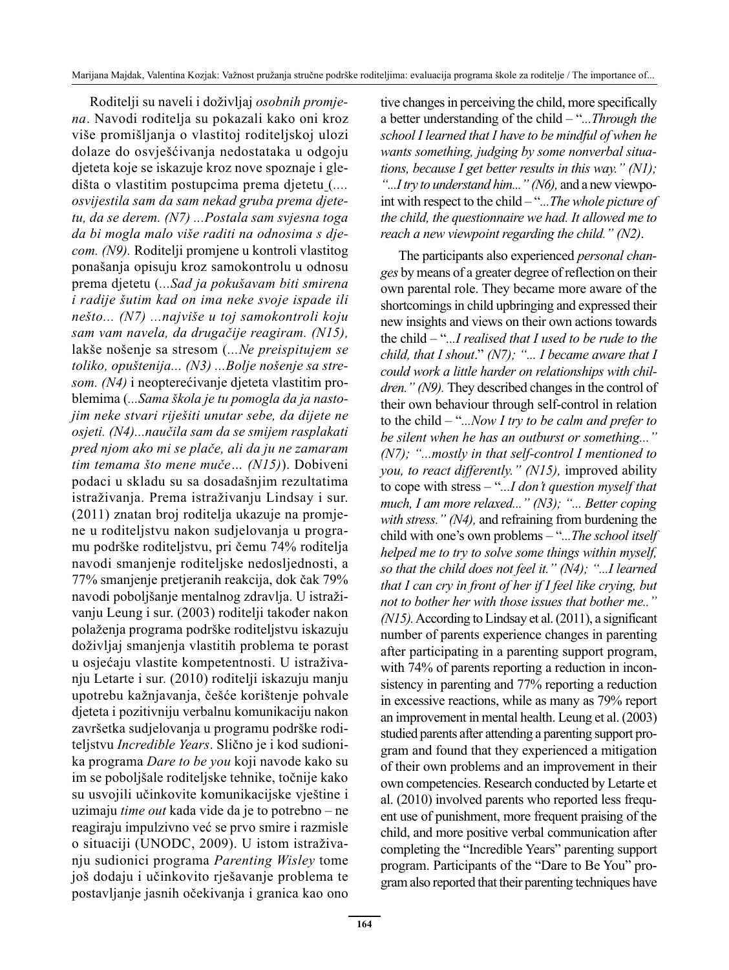Roditelji su naveli i doživljaj *osobnih promjena*. Navodi roditelja su pokazali kako oni kroz više promišljanja o vlastitoj roditeljskoj ulozi dolaze do osvješćivanja nedostataka u odgoju djeteta koje se iskazuje kroz nove spoznaje i gledišta o vlastitim postupcima prema djetetu (*.... osvijestila sam da sam nekad gruba prema djetetu, da se derem. (N7) ...Postala sam svjesna toga da bi mogla malo više raditi na odnosima s djecom. (N9).* Roditelji promjene u kontroli vlastitog ponašanja opisuju kroz samokontrolu u odnosu prema djetetu (*...Sad ja pokušavam biti smirena i radije šutim kad on ima neke svoje ispade ili nešto... (N7) ...najviše u toj samokontroli koju sam vam navela, da drugačije reagiram. (N15),*  lakše nošenje sa stresom (*...Ne preispitujem se toliko, opuštenija... (N3) ...Bolje nošenje sa stresom. (N4)* i neopterećivanje djeteta vlastitim problemima (*...Sama škola je tu pomogla da ja nastojim neke stvari riješiti unutar sebe, da dijete ne osjeti. (N4)...naučila sam da se smijem rasplakati pred njom ako mi se plače, ali da ju ne zamaram tim temama što mene muče… (N15)*). Dobiveni podaci u skladu su sa dosadašnjim rezultatima istraživanja. Prema istraživanju Lindsay i sur. (2011) znatan broj roditelja ukazuje na promjene u roditeljstvu nakon sudjelovanja u programu podrške roditeljstvu, pri čemu 74% roditelja navodi smanjenje roditeljske nedosljednosti, a 77% smanjenje pretjeranih reakcija, dok čak 79% navodi poboljšanje mentalnog zdravlja. U istraživanju Leung i sur. (2003) roditelji također nakon polaženja programa podrške roditeljstvu iskazuju doživljaj smanjenja vlastitih problema te porast u osjećaju vlastite kompetentnosti. U istraživanju Letarte i sur. (2010) roditelji iskazuju manju upotrebu kažnjavanja, češće korištenje pohvale djeteta i pozitivniju verbalnu komunikaciju nakon završetka sudjelovanja u programu podrške roditeljstvu *Incredible Years*. Slično je i kod sudionika programa *Dare to be you* koji navode kako su im se poboljšale roditeljske tehnike, točnije kako su usvojili učinkovite komunikacijske vještine i uzimaju *time out* kada vide da je to potrebno – ne reagiraju impulzivno već se prvo smire i razmisle o situaciji (UNODC, 2009). U istom istraživanju sudionici programa *Parenting Wisley* tome još dodaju i učinkovito rješavanje problema te postavljanje jasnih očekivanja i granica kao ono tive changes in perceiving the child, more specifically a better understanding of the child – "*...Through the school I learned that I have to be mindful of when he wants something, judging by some nonverbal situations, because I get better results in this way." (N1); "...I try to understand him..." (N6),* and a new viewpoint with respect to the child – "*...The whole picture of the child, the questionnaire we had. It allowed me to reach a new viewpoint regarding the child." (N2)*.

The participants also experienced *personal changes* by means of a greater degree of reflection on their own parental role. They became more aware of the shortcomings in child upbringing and expressed their new insights and views on their own actions towards the child – "*...I realised that I used to be rude to the child, that I shout*." *(N7); "... I became aware that I could work a little harder on relationships with children." (N9).* They described changes in the control of their own behaviour through self-control in relation to the child – "*...Now I try to be calm and prefer to be silent when he has an outburst or something..." (N7); "...mostly in that self-control I mentioned to you, to react differently." (N15),* improved ability to cope with stress – "*...I don't question myself that much, I am more relaxed..." (N3); "... Better coping with stress." (N4),* and refraining from burdening the child with one's own problems – "*...The school itself helped me to try to solve some things within myself, so that the child does not feel it." (N4); "...I learned that I can cry in front of her if I feel like crying, but not to bother her with those issues that bother me.." (N15).* According to Lindsay et al. (2011), a significant number of parents experience changes in parenting after participating in a parenting support program, with 74% of parents reporting a reduction in inconsistency in parenting and 77% reporting a reduction in excessive reactions, while as many as 79% report an improvement in mental health. Leung et al. (2003) studied parents after attending a parenting support program and found that they experienced a mitigation of their own problems and an improvement in their own competencies. Research conducted by Letarte et al. (2010) involved parents who reported less frequent use of punishment, more frequent praising of the child, and more positive verbal communication after completing the "Incredible Years" parenting support program. Participants of the "Dare to Be You" program also reported that their parenting techniques have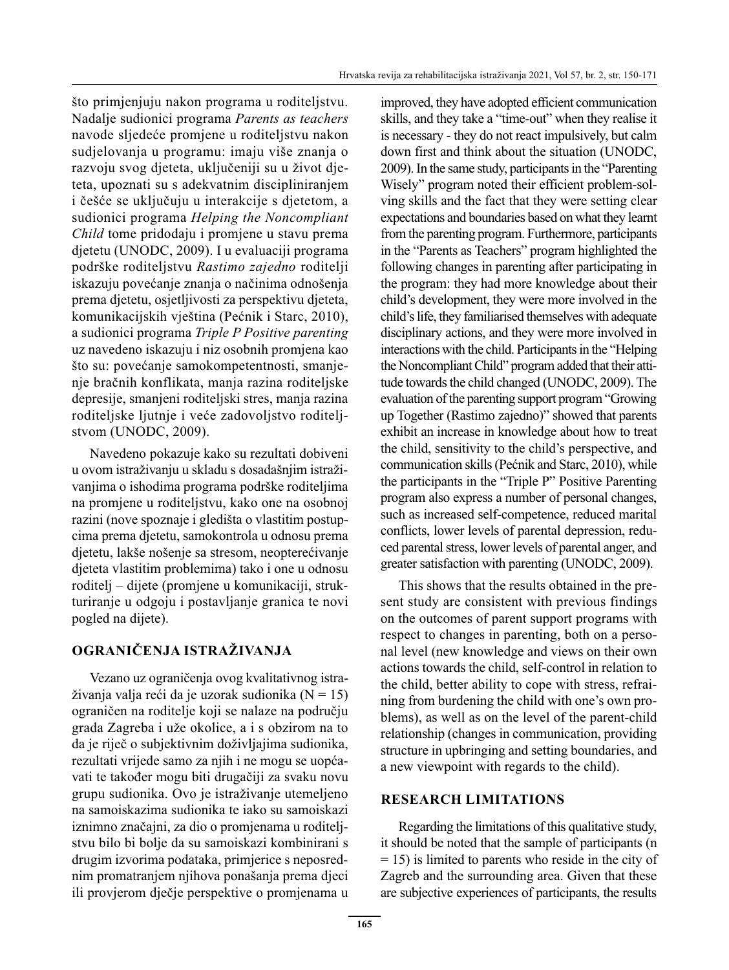što primjenjuju nakon programa u roditeljstvu. Nadalje sudionici programa *Parents as teachers* navode sljedeće promjene u roditeljstvu nakon sudjelovanja u programu: imaju više znanja o razvoju svog djeteta, uključeniji su u život djeteta, upoznati su s adekvatnim discipliniranjem i češće se uključuju u interakcije s djetetom, a sudionici programa *Helping the Noncompliant Child* tome pridodaju i promjene u stavu prema djetetu (UNODC, 2009). I u evaluaciji programa podrške roditeljstvu *Rastimo zajedno* roditelji iskazuju povećanje znanja o načinima odnošenja prema djetetu, osjetljivosti za perspektivu djeteta, komunikacijskih vještina (Pećnik i Starc, 2010), a sudionici programa *Triple P Positive parenting* uz navedeno iskazuju i niz osobnih promjena kao što su: povećanje samokompetentnosti, smanjenje bračnih konflikata, manja razina roditeljske depresije, smanjeni roditeljski stres, manja razina roditeljske ljutnje i veće zadovoljstvo roditeljstvom (UNODC, 2009).

Navedeno pokazuje kako su rezultati dobiveni u ovom istraživanju u skladu s dosadašnjim istraživanjima o ishodima programa podrške roditeljima na promjene u roditeljstvu, kako one na osobnoj razini (nove spoznaje i gledišta o vlastitim postupcima prema djetetu, samokontrola u odnosu prema djetetu, lakše nošenje sa stresom, neopterećivanje djeteta vlastitim problemima) tako i one u odnosu roditelj – dijete (promjene u komunikaciji, strukturiranje u odgoju i postavljanje granica te novi pogled na dijete).

## **OGRANIČENJA ISTRAŽIVANJA**

Vezano uz ograničenja ovog kvalitativnog istraživanja valja reći da je uzorak sudionika (N = 15) ograničen na roditelje koji se nalaze na području grada Zagreba i uže okolice, a i s obzirom na to da je riječ o subjektivnim doživljajima sudionika, rezultati vrijede samo za njih i ne mogu se uopćavati te također mogu biti drugačiji za svaku novu grupu sudionika. Ovo je istraživanje utemeljeno na samoiskazima sudionika te iako su samoiskazi iznimno značajni, za dio o promjenama u roditeljstvu bilo bi bolje da su samoiskazi kombinirani s drugim izvorima podataka, primjerice s neposrednim promatranjem njihova ponašanja prema djeci ili provjerom dječje perspektive o promjenama u improved, they have adopted efficient communication skills, and they take a "time-out" when they realise it is necessary - they do not react impulsively, but calm down first and think about the situation (UNODC, 2009). In the same study, participants in the "Parenting Wisely" program noted their efficient problem-solving skills and the fact that they were setting clear expectations and boundaries based on what they learnt from the parenting program. Furthermore, participants in the "Parents as Teachers" program highlighted the following changes in parenting after participating in the program: they had more knowledge about their child's development, they were more involved in the child's life, they familiarised themselves with adequate disciplinary actions, and they were more involved in interactions with the child. Participants in the "Helping the Noncompliant Child" program added that their attitude towards the child changed (UNODC, 2009). The evaluation of the parenting support program "Growing up Together (Rastimo zajedno)" showed that parents exhibit an increase in knowledge about how to treat the child, sensitivity to the child's perspective, and communication skills (Pećnik and Starc, 2010), while the participants in the "Triple P" Positive Parenting program also express a number of personal changes, such as increased self-competence, reduced marital conflicts, lower levels of parental depression, reduced parental stress, lower levels of parental anger, and greater satisfaction with parenting (UNODC, 2009).

This shows that the results obtained in the present study are consistent with previous findings on the outcomes of parent support programs with respect to changes in parenting, both on a personal level (new knowledge and views on their own actions towards the child, self-control in relation to the child, better ability to cope with stress, refraining from burdening the child with one's own problems), as well as on the level of the parent-child relationship (changes in communication, providing structure in upbringing and setting boundaries, and a new viewpoint with regards to the child).

#### **RESEARCH LIMITATIONS**

Regarding the limitations of this qualitative study, it should be noted that the sample of participants (n  $= 15$ ) is limited to parents who reside in the city of Zagreb and the surrounding area. Given that these are subjective experiences of participants, the results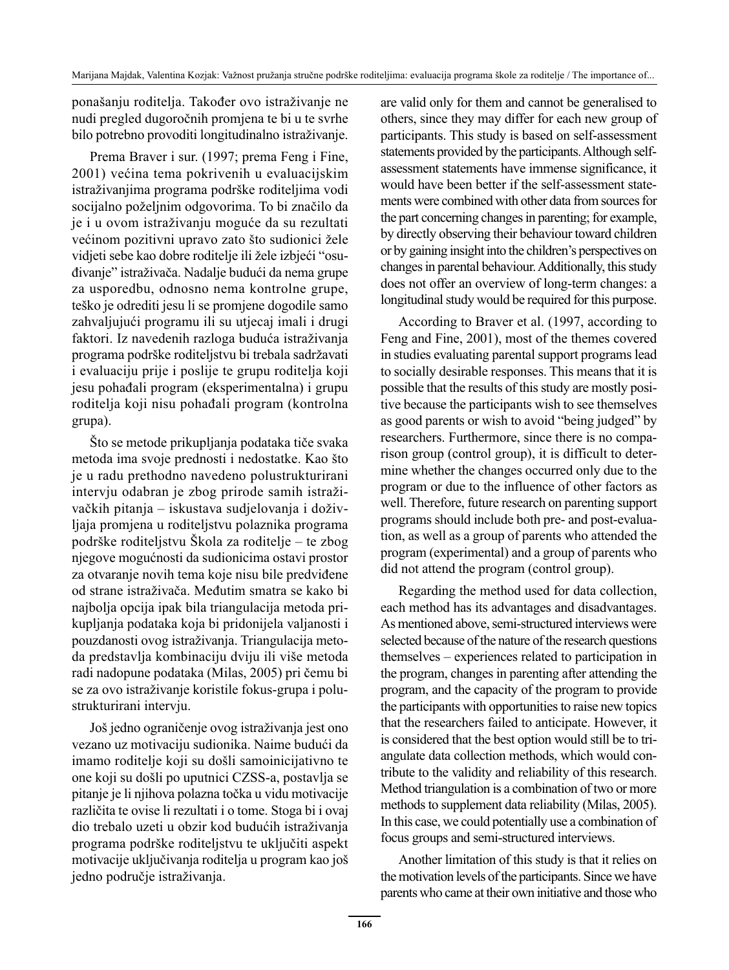ponašanju roditelja. Također ovo istraživanje ne nudi pregled dugoročnih promjena te bi u te svrhe bilo potrebno provoditi longitudinalno istraživanje.

Prema Braver i sur. (1997; prema Feng i Fine, 2001) većina tema pokrivenih u evaluacijskim istraživanjima programa podrške roditeljima vodi socijalno poželjnim odgovorima. To bi značilo da je i u ovom istraživanju moguće da su rezultati većinom pozitivni upravo zato što sudionici žele vidjeti sebe kao dobre roditelje ili žele izbjeći "osuđivanje" istraživača. Nadalje budući da nema grupe za usporedbu, odnosno nema kontrolne grupe, teško je odrediti jesu li se promjene dogodile samo zahvaljujući programu ili su utjecaj imali i drugi faktori. Iz navedenih razloga buduća istraživanja programa podrške roditeljstvu bi trebala sadržavati i evaluaciju prije i poslije te grupu roditelja koji jesu pohađali program (eksperimentalna) i grupu roditelja koji nisu pohađali program (kontrolna grupa).

Što se metode prikupljanja podataka tiče svaka metoda ima svoje prednosti i nedostatke. Kao što je u radu prethodno navedeno polustrukturirani intervju odabran je zbog prirode samih istraživačkih pitanja – iskustava sudjelovanja i doživljaja promjena u roditeljstvu polaznika programa podrške roditeljstvu Škola za roditelje – te zbog njegove mogućnosti da sudionicima ostavi prostor za otvaranje novih tema koje nisu bile predviđene od strane istraživača. Međutim smatra se kako bi najbolja opcija ipak bila triangulacija metoda prikupljanja podataka koja bi pridonijela valjanosti i pouzdanosti ovog istraživanja. Triangulacija metoda predstavlja kombinaciju dviju ili više metoda radi nadopune podataka (Milas, 2005) pri čemu bi se za ovo istraživanje koristile fokus-grupa i polustrukturirani intervju.

Još jedno ograničenje ovog istraživanja jest ono vezano uz motivaciju sudionika. Naime budući da imamo roditelje koji su došli samoinicijativno te one koji su došli po uputnici CZSS-a, postavlja se pitanje je li njihova polazna točka u vidu motivacije različita te ovise li rezultati i o tome. Stoga bi i ovaj dio trebalo uzeti u obzir kod budućih istraživanja programa podrške roditeljstvu te uključiti aspekt motivacije uključivanja roditelja u program kao još jedno područje istraživanja.

are valid only for them and cannot be generalised to others, since they may differ for each new group of participants. This study is based on self-assessment statements provided by the participants. Although selfassessment statements have immense significance, it would have been better if the self-assessment statements were combined with other data from sources for the part concerning changes in parenting; for example, by directly observing their behaviour toward children or by gaining insight into the children's perspectives on changes in parental behaviour. Additionally, this study does not offer an overview of long-term changes: a longitudinal study would be required for this purpose.

According to Braver et al. (1997, according to Feng and Fine, 2001), most of the themes covered in studies evaluating parental support programs lead to socially desirable responses. This means that it is possible that the results of this study are mostly positive because the participants wish to see themselves as good parents or wish to avoid "being judged" by researchers. Furthermore, since there is no comparison group (control group), it is difficult to determine whether the changes occurred only due to the program or due to the influence of other factors as well. Therefore, future research on parenting support programs should include both pre- and post-evaluation, as well as a group of parents who attended the program (experimental) and a group of parents who did not attend the program (control group).

Regarding the method used for data collection, each method has its advantages and disadvantages. As mentioned above, semi-structured interviews were selected because of the nature of the research questions themselves – experiences related to participation in the program, changes in parenting after attending the program, and the capacity of the program to provide the participants with opportunities to raise new topics that the researchers failed to anticipate. However, it is considered that the best option would still be to triangulate data collection methods, which would contribute to the validity and reliability of this research. Method triangulation is a combination of two or more methods to supplement data reliability (Milas, 2005). In this case, we could potentially use a combination of focus groups and semi-structured interviews.

Another limitation of this study is that it relies on the motivation levels of the participants. Since we have parents who came at their own initiative and those who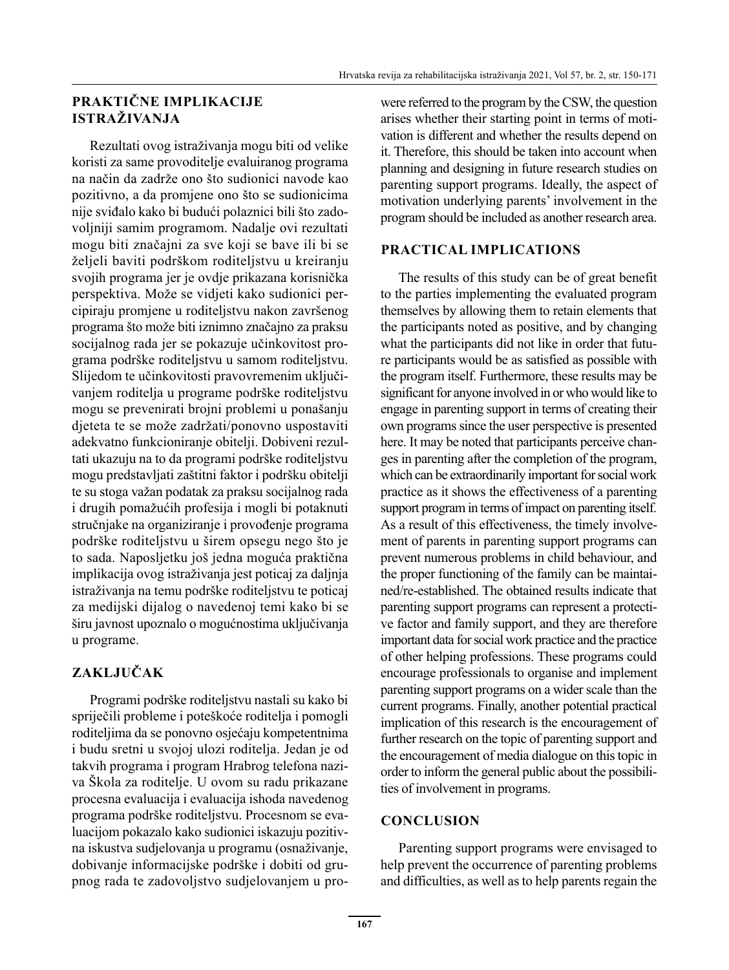## **PRAKTIČNE IMPLIKACIJE ISTRAŽIVANJA**

Rezultati ovog istraživanja mogu biti od velike koristi za same provoditelje evaluiranog programa na način da zadrže ono što sudionici navode kao pozitivno, a da promjene ono što se sudionicima nije sviđalo kako bi budući polaznici bili što zadovoljniji samim programom. Nadalje ovi rezultati mogu biti značajni za sve koji se bave ili bi se željeli baviti podrškom roditeljstvu u kreiranju svojih programa jer je ovdje prikazana korisnička perspektiva. Može se vidjeti kako sudionici percipiraju promjene u roditeljstvu nakon završenog programa što može biti iznimno značajno za praksu socijalnog rada jer se pokazuje učinkovitost programa podrške roditeljstvu u samom roditeljstvu. Slijedom te učinkovitosti pravovremenim uključivanjem roditelja u programe podrške roditeljstvu mogu se prevenirati brojni problemi u ponašanju djeteta te se može zadržati/ponovno uspostaviti adekvatno funkcioniranje obitelji. Dobiveni rezultati ukazuju na to da programi podrške roditeljstvu mogu predstavljati zaštitni faktor i podršku obitelji te su stoga važan podatak za praksu socijalnog rada i drugih pomažućih profesija i mogli bi potaknuti stručnjake na organiziranje i provođenje programa podrške roditeljstvu u širem opsegu nego što je to sada. Naposljetku još jedna moguća praktična implikacija ovog istraživanja jest poticaj za daljnja istraživanja na temu podrške roditeljstvu te poticaj za medijski dijalog o navedenoj temi kako bi se širu javnost upoznalo o mogućnostima uključivanja u programe.

# **ZAKLJUČAK**

Programi podrške roditeljstvu nastali su kako bi spriječili probleme i poteškoće roditelja i pomogli roditeljima da se ponovno osjećaju kompetentnima i budu sretni u svojoj ulozi roditelja. Jedan je od takvih programa i program Hrabrog telefona naziva Škola za roditelje. U ovom su radu prikazane procesna evaluacija i evaluacija ishoda navedenog programa podrške roditeljstvu. Procesnom se evaluacijom pokazalo kako sudionici iskazuju pozitivna iskustva sudjelovanja u programu (osnaživanje, dobivanje informacijske podrške i dobiti od grupnog rada te zadovoljstvo sudjelovanjem u prowere referred to the program by the CSW, the question arises whether their starting point in terms of motivation is different and whether the results depend on it. Therefore, this should be taken into account when planning and designing in future research studies on parenting support programs. Ideally, the aspect of motivation underlying parents' involvement in the program should be included as another research area.

# **PRACTICAL IMPLICATIONS**

The results of this study can be of great benefit to the parties implementing the evaluated program themselves by allowing them to retain elements that the participants noted as positive, and by changing what the participants did not like in order that future participants would be as satisfied as possible with the program itself. Furthermore, these results may be significant for anyone involved in or who would like to engage in parenting support in terms of creating their own programs since the user perspective is presented here. It may be noted that participants perceive changes in parenting after the completion of the program, which can be extraordinarily important for social work practice as it shows the effectiveness of a parenting support program in terms of impact on parenting itself. As a result of this effectiveness, the timely involvement of parents in parenting support programs can prevent numerous problems in child behaviour, and the proper functioning of the family can be maintained/re-established. The obtained results indicate that parenting support programs can represent a protective factor and family support, and they are therefore important data for social work practice and the practice of other helping professions. These programs could encourage professionals to organise and implement parenting support programs on a wider scale than the current programs. Finally, another potential practical implication of this research is the encouragement of further research on the topic of parenting support and the encouragement of media dialogue on this topic in order to inform the general public about the possibilities of involvement in programs.

## **CONCLUSION**

Parenting support programs were envisaged to help prevent the occurrence of parenting problems and difficulties, as well as to help parents regain the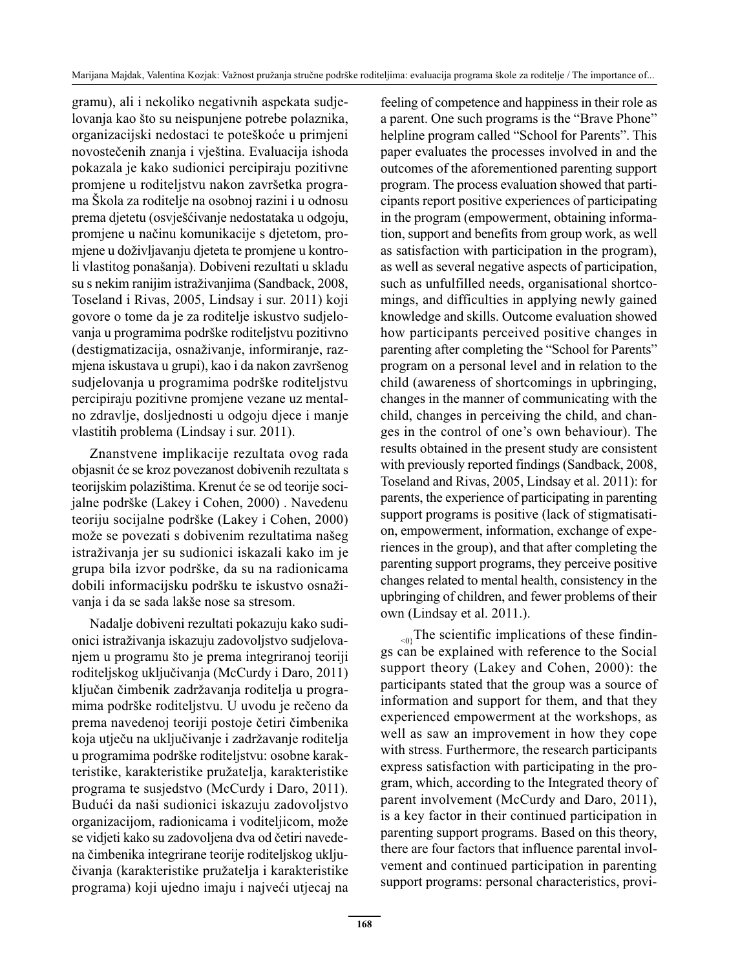gramu), ali i nekoliko negativnih aspekata sudjelovanja kao što su neispunjene potrebe polaznika, organizacijski nedostaci te poteškoće u primjeni novostečenih znanja i vještina. Evaluacija ishoda pokazala je kako sudionici percipiraju pozitivne promjene u roditeljstvu nakon završetka programa Škola za roditelje na osobnoj razini i u odnosu prema djetetu (osvješćivanje nedostataka u odgoju, promjene u načinu komunikacije s djetetom, promjene u doživljavanju djeteta te promjene u kontroli vlastitog ponašanja). Dobiveni rezultati u skladu su s nekim ranijim istraživanjima (Sandback, 2008, Toseland i Rivas, 2005, Lindsay i sur. 2011) koji govore o tome da je za roditelje iskustvo sudjelovanja u programima podrške roditeljstvu pozitivno (destigmatizacija, osnaživanje, informiranje, razmjena iskustava u grupi), kao i da nakon završenog sudjelovanja u programima podrške roditeljstvu percipiraju pozitivne promjene vezane uz mentalno zdravlje, dosljednosti u odgoju djece i manje vlastitih problema (Lindsay i sur. 2011).

Znanstvene implikacije rezultata ovog rada objasnit će se kroz povezanost dobivenih rezultata s teorijskim polazištima. Krenut će se od teorije socijalne podrške (Lakey i Cohen, 2000) . Navedenu teoriju socijalne podrške (Lakey i Cohen, 2000) može se povezati s dobivenim rezultatima našeg istraživanja jer su sudionici iskazali kako im je grupa bila izvor podrške, da su na radionicama dobili informacijsku podršku te iskustvo osnaživanja i da se sada lakše nose sa stresom.

Nadalje dobiveni rezultati pokazuju kako sudionici istraživanja iskazuju zadovoljstvo sudjelovanjem u programu što je prema integriranoj teoriji roditeljskog uključivanja (McCurdy i Daro, 2011) ključan čimbenik zadržavanja roditelja u programima podrške roditeljstvu. U uvodu je rečeno da prema navedenoj teoriji postoje četiri čimbenika koja utječu na uključivanje i zadržavanje roditelja u programima podrške roditeljstvu: osobne karakteristike, karakteristike pružatelja, karakteristike programa te susjedstvo (McCurdy i Daro, 2011). Budući da naši sudionici iskazuju zadovoljstvo organizacijom, radionicama i voditeljicom, može se vidjeti kako su zadovoljena dva od četiri navedena čimbenika integrirane teorije roditeljskog uključivanja (karakteristike pružatelja i karakteristike programa) koji ujedno imaju i najveći utjecaj na feeling of competence and happiness in their role as a parent. One such programs is the "Brave Phone" helpline program called "School for Parents". This paper evaluates the processes involved in and the outcomes of the aforementioned parenting support program. The process evaluation showed that participants report positive experiences of participating in the program (empowerment, obtaining information, support and benefits from group work, as well as satisfaction with participation in the program), as well as several negative aspects of participation, such as unfulfilled needs, organisational shortcomings, and difficulties in applying newly gained knowledge and skills. Outcome evaluation showed how participants perceived positive changes in parenting after completing the "School for Parents" program on a personal level and in relation to the child (awareness of shortcomings in upbringing, changes in the manner of communicating with the child, changes in perceiving the child, and changes in the control of one's own behaviour). The results obtained in the present study are consistent with previously reported findings (Sandback, 2008, Toseland and Rivas, 2005, Lindsay et al. 2011): for parents, the experience of participating in parenting support programs is positive (lack of stigmatisation, empowerment, information, exchange of experiences in the group), and that after completing the parenting support programs, they perceive positive changes related to mental health, consistency in the upbringing of children, and fewer problems of their own (Lindsay et al. 2011.).

 $\epsilon_{0}$ The scientific implications of these findings can be explained with reference to the Social support theory (Lakey and Cohen, 2000): the participants stated that the group was a source of information and support for them, and that they experienced empowerment at the workshops, as well as saw an improvement in how they cope with stress. Furthermore, the research participants express satisfaction with participating in the program, which, according to the Integrated theory of parent involvement (McCurdy and Daro, 2011), is a key factor in their continued participation in parenting support programs. Based on this theory, there are four factors that influence parental involvement and continued participation in parenting support programs: personal characteristics, provi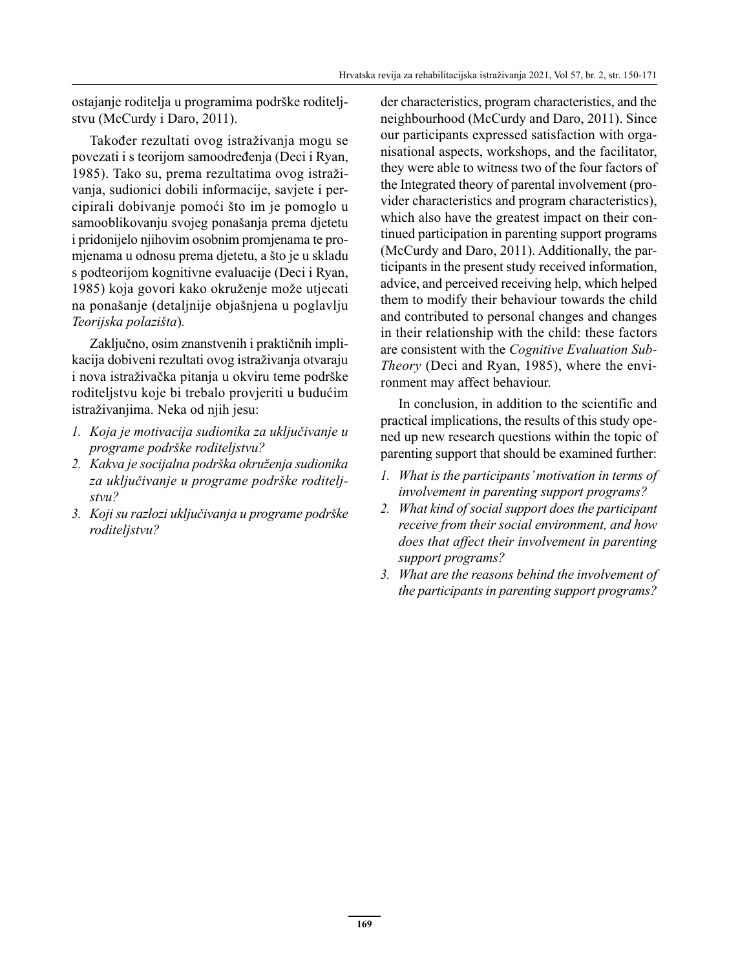ostajanje roditelja u programima podrške roditeljstvu (McCurdy i Daro, 2011).

Također rezultati ovog istraživanja mogu se povezati i s teorijom samoodređenja (Deci i Ryan, 1985). Tako su, prema rezultatima ovog istraživanja, sudionici dobili informacije, savjete i percipirali dobivanje pomoći što im je pomoglo u samooblikovanju svojeg ponašanja prema djetetu i pridonijelo njihovim osobnim promjenama te promjenama u odnosu prema djetetu, a što je u skladu s podteorijom kognitivne evaluacije (Deci i Ryan, 1985) koja govori kako okruženje može utjecati na ponašanje (detaljnije objašnjena u poglavlju *Teorijska polazišta*)*.*

Zaključno, osim znanstvenih i praktičnih implikacija dobiveni rezultati ovog istraživanja otvaraju i nova istraživačka pitanja u okviru teme podrške roditeljstvu koje bi trebalo provjeriti u budućim istraživanjima. Neka od njih jesu:

- *1. Koja je motivacija sudionika za uključivanje u programe podrške roditeljstvu?*
- *2. Kakva je socijalna podrška okruženja sudionika za uključivanje u programe podrške roditeljstvu?*
- *3. Koji su razlozi uključivanja u programe podrške roditeljstvu?*

der characteristics, program characteristics, and the neighbourhood (McCurdy and Daro, 2011). Since our participants expressed satisfaction with organisational aspects, workshops, and the facilitator, they were able to witness two of the four factors of the Integrated theory of parental involvement (provider characteristics and program characteristics), which also have the greatest impact on their continued participation in parenting support programs (McCurdy and Daro, 2011). Additionally, the participants in the present study received information, advice, and perceived receiving help, which helped them to modify their behaviour towards the child and contributed to personal changes and changes in their relationship with the child: these factors are consistent with the *Cognitive Evaluation Sub-Theory* (Deci and Ryan, 1985), where the environment may affect behaviour.

In conclusion, in addition to the scientific and practical implications, the results of this study opened up new research questions within the topic of parenting support that should be examined further:

- *1. What is the participants' motivation in terms of involvement in parenting support programs?*
- *2. What kind of social support does the participant receive from their social environment, and how does that affect their involvement in parenting support programs?*
- *3. What are the reasons behind the involvement of the participants in parenting support programs?*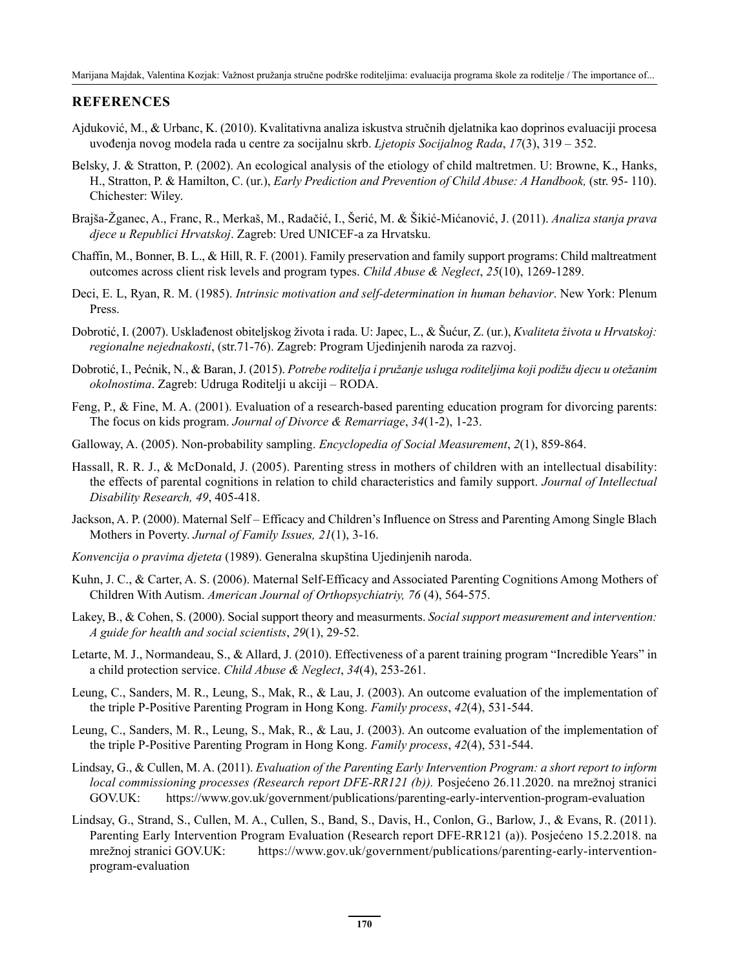#### **REFERENCES**

- Ajduković, M., & Urbanc, K. (2010). Kvalitativna analiza iskustva stručnih djelatnika kao doprinos evaluaciji procesa uvođenja novog modela rada u centre za socijalnu skrb. *Ljetopis Socijalnog Rada*, *17*(3), 319 – 352.
- Belsky, J. & Stratton, P. (2002). An ecological analysis of the etiology of child maltretmen. U: Browne, K., Hanks, H., Stratton, P. & Hamilton, C. (ur.), *Early Prediction and Prevention of Child Abuse: A Handbook,* (str. 95- 110). Chichester: Wiley.
- Brajša-Žganec, A., Franc, R., Merkaš, M., Radačić, I., Šerić, M. & Šikić-Mićanović, J. (2011). *Analiza stanja prava djece u Republici Hrvatskoj*. Zagreb: Ured UNICEF-a za Hrvatsku.
- Chaffin, M., Bonner, B. L., & Hill, R. F. (2001). Family preservation and family support programs: Child maltreatment outcomes across client risk levels and program types. *Child Abuse & Neglect*, *25*(10), 1269-1289.
- Deci, E. L, Ryan, R. M. (1985). *Intrinsic motivation and self-determination in human behavior*. New York: Plenum Press.
- Dobrotić, I. (2007). Usklađenost obiteljskog života i rada. U: Japec, L., & Šućur, Z. (ur.), *Kvaliteta života u Hrvatskoj: regionalne nejednakosti*, (str.71-76). Zagreb: Program Ujedinjenih naroda za razvoj.
- Dobrotić, I., Pećnik, N., & Baran, J. (2015). *Potrebe roditelja i pružanje usluga roditeljima koji podižu djecu u otežanim okolnostima*. Zagreb: Udruga Roditelji u akciji – RODA.
- Feng, P., & Fine, M. A. (2001). Evaluation of a research-based parenting education program for divorcing parents: The focus on kids program. *Journal of Divorce & Remarriage*, *34*(1-2), 1-23.
- Galloway, A. (2005). Non-probability sampling. *Encyclopedia of Social Measurement*, *2*(1), 859-864.
- Hassall, R. R. J., & McDonald, J. (2005). Parenting stress in mothers of children with an intellectual disability: the effects of parental cognitions in relation to child characteristics and family support. *Journal of Intellectual Disability Research, 49*, 405-418.
- Jackson, A. P. (2000). Maternal Self Efficacy and Children's Influence on Stress and Parenting Among Single Blach Mothers in Poverty. *Jurnal of Family Issues, 21*(1), 3-16.
- *Konvencija o pravima djeteta* (1989). Generalna skupština Ujedinjenih naroda.
- Kuhn, J. C., & Carter, A. S. (2006). Maternal Self-Efficacy and Associated Parenting Cognitions Among Mothers of Children With Autism. *American Journal of Orthopsychiatriy, 76* (4), 564-575.
- Lakey, B., & Cohen, S. (2000). Social support theory and measurments. *Social support measurement and intervention: A guide for health and social scientists*, *29*(1), 29-52.
- Letarte, M. J., Normandeau, S., & Allard, J. (2010). Effectiveness of a parent training program "Incredible Years" in a child protection service. *Child Abuse & Neglect*, *34*(4), 253-261.
- Leung, C., Sanders, M. R., Leung, S., Mak, R., & Lau, J. (2003). An outcome evaluation of the implementation of the triple P‐Positive Parenting Program in Hong Kong. *Family process*, *42*(4), 531-544.
- Leung, C., Sanders, M. R., Leung, S., Mak, R., & Lau, J. (2003). An outcome evaluation of the implementation of the triple P‐Positive Parenting Program in Hong Kong. *Family process*, *42*(4), 531-544.
- Lindsay, G., & Cullen, M. A. (2011). *Evaluation of the Parenting Early Intervention Program: a short report to inform local commissioning processes (Research report DFE-RR121 (b)).* Posjećeno 26.11.2020. na mrežnoj stranici GOV.UK: https://www.gov.uk/government/publications/parenting-early-intervention-program-evaluation
- Lindsay, G., Strand, S., Cullen, M. A., Cullen, S., Band, S., Davis, H., Conlon, G., Barlow, J., & Evans, R. (2011). Parenting Early Intervention Program Evaluation (Research report DFE-RR121 (a)). Posjećeno 15.2.2018. na mrežnoj stranici GOV.UK: https://www.gov.uk/government/publications/parenting-early-interventionprogram-evaluation